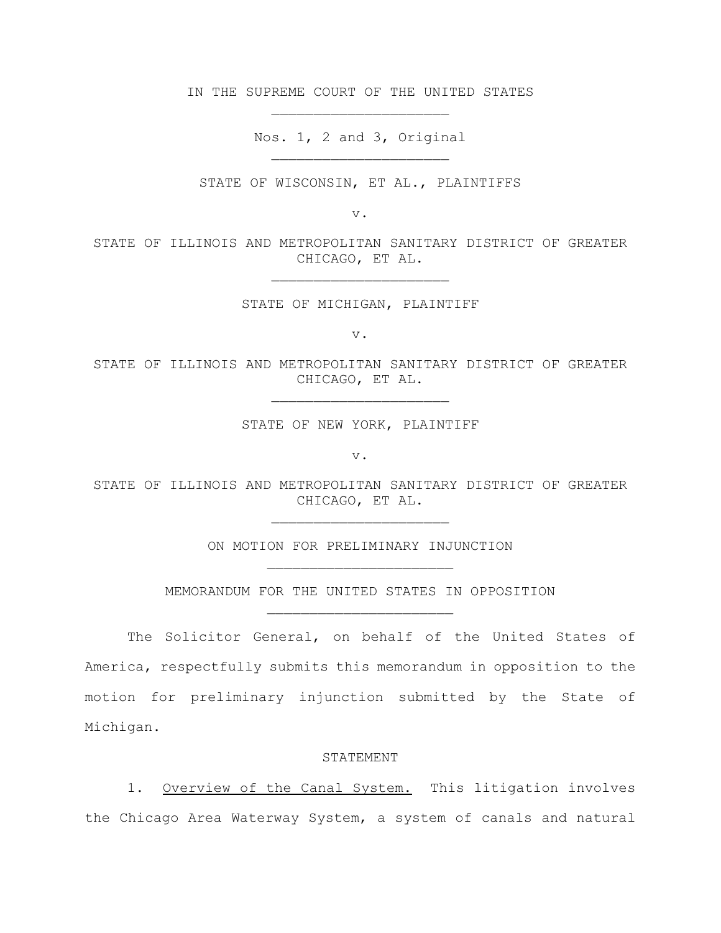$\mathcal{L}_\text{max}$ IN THE SUPREME COURT OF THE UNITED STATES

> $\mathcal{L}_\text{max}$ Nos. 1, 2 and 3, Original

STATE OF WISCONSIN, ET AL., PLAINTIFFS

v.

STATE OF ILLINOIS AND METROPOLITAN SANITARY DISTRICT OF GREATER CHICAGO, ET AL.

 $\mathcal{L}_\text{max}$ 

STATE OF MICHIGAN, PLAINTIFF

v.

STATE OF ILLINOIS AND METROPOLITAN SANITARY DISTRICT OF GREATER CHICAGO, ET AL.

 $\mathcal{L}_\text{max}$ 

STATE OF NEW YORK, PLAINTIFF

v.

STATE OF ILLINOIS AND METROPOLITAN SANITARY DISTRICT OF GREATER CHICAGO, ET AL.

 $\mathcal{L}_\text{max}$ 

ON MOTION FOR PRELIMINARY INJUNCTION

 $\mathcal{L}_\text{max}$ MEMORANDUM FOR THE UNITED STATES IN OPPOSITION

The Solicitor General, on behalf of the United States of America, respectfully submits this memorandum in opposition to the motion for preliminary injunction submitted by the State of Michigan.

## STATEMENT

1. Overview of the Canal System. This litigation involves the Chicago Area Waterway System, a system of canals and natural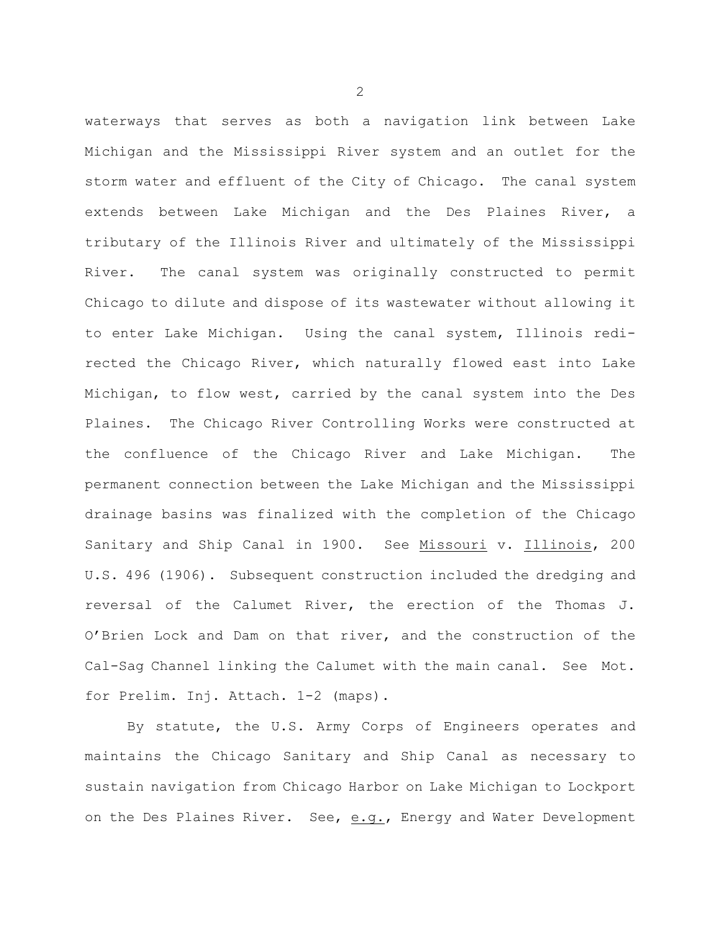waterways that serves as both a navigation link between Lake Michigan and the Mississippi River system and an outlet for the storm water and effluent of the City of Chicago. The canal system extends between Lake Michigan and the Des Plaines River, a tributary of the Illinois River and ultimately of the Mississippi River. The canal system was originally constructed to permit Chicago to dilute and dispose of its wastewater without allowing it to enter Lake Michigan. Using the canal system, Illinois redi rected the Chicago River, which naturally flowed east into Lake Michigan, to flow west, carried by the canal system into the Des Plaines. The Chicago River Controlling Works were constructed at the confluence of the Chicago River and Lake Michigan. The permanent connection between the Lake Michigan and the Mississippi drainage basins was finalized with the completion of the Chicago Sanitary and Ship Canal in 1900. See Missouri v. Illinois, 200 U.S. 496 (1906). Subsequent construction included the dredging and reversal of the Calumet River, the erection of the Thomas J. O'Brien Lock and Dam on that river, and the construction of the Cal-Sag Channel linking the Calumet with the main canal. See Mot. for Prelim. Inj. Attach. 1-2 (maps).

By statute, the U.S. Army Corps of Engineers operates and maintains the Chicago Sanitary and Ship Canal as necessary to sustain navigation from Chicago Harbor on Lake Michigan to Lockport on the Des Plaines River. See, e.g., Energy and Water Development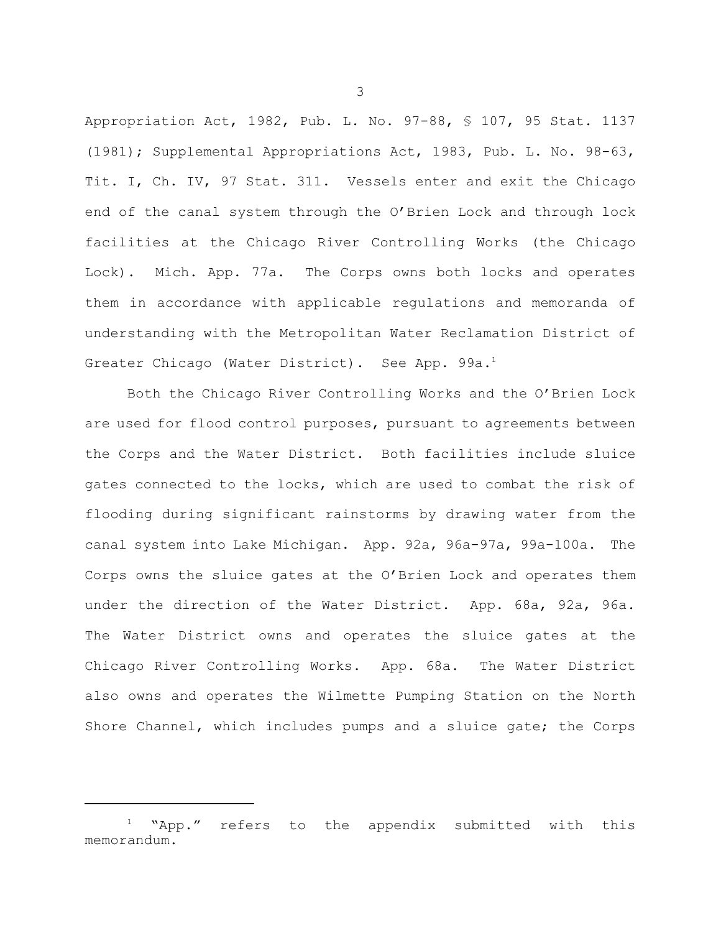Appropriation Act, 1982, Pub. L. No. 97-88, § 107, 95 Stat. 1137 (1981); Supplemental Appropriations Act, 1983, Pub. L. No. 98-63, Tit. I, Ch. IV, 97 Stat. 311. Vessels enter and exit the Chicago end of the canal system through the O'Brien Lock and through lock facilities at the Chicago River Controlling Works (the Chicago Lock). Mich. App. 77a. The Corps owns both locks and operates them in accordance with applicable regulations and memoranda of understanding with the Metropolitan Water Reclamation District of Greater Chicago (Water District). See App. 99a. $^{\rm 1}$ 

Both the Chicago River Controlling Works and the O'Brien Lock are used for flood control purposes, pursuant to agreements between the Corps and the Water District. Both facilities include sluice gates connected to the locks, which are used to combat the risk of flooding during significant rainstorms by drawing water from the canal system into Lake Michigan. App. 92a, 96a-97a, 99a-100a. The Corps owns the sluice gates at the O'Brien Lock and operates them under the direction of the Water District. App. 68a, 92a, 96a. The Water District owns and operates the sluice gates at the Chicago River Controlling Works. App. 68a. The Water District also owns and operates the Wilmette Pumping Station on the North Shore Channel, which includes pumps and a sluice gate; the Corps

<sup>1</sup> "App." refers to the appendix submitted with this memorandum.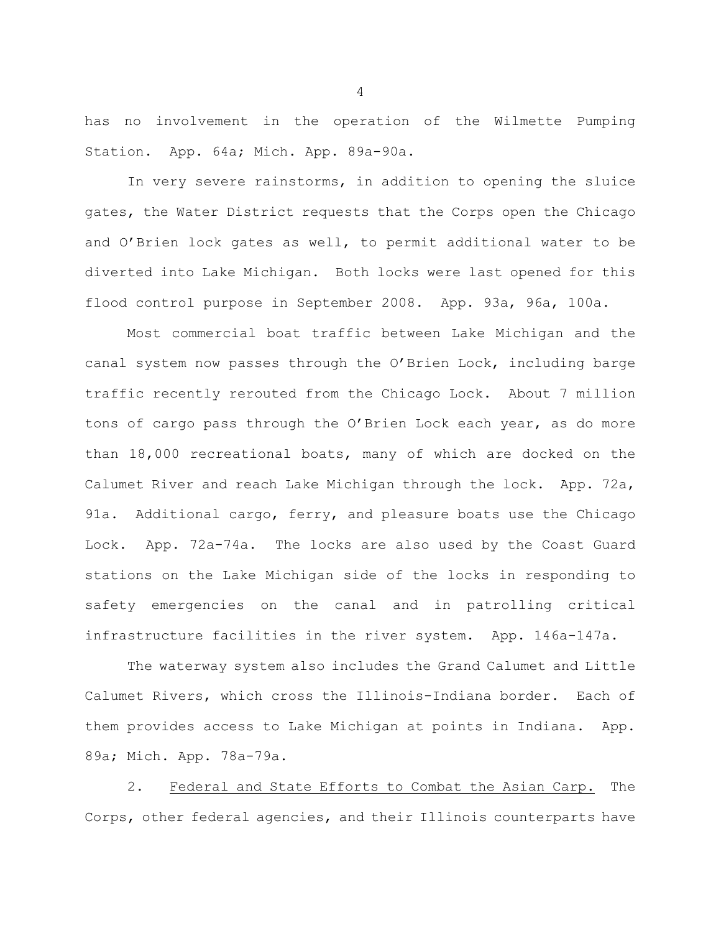has no involvement in the operation of the Wilmette Pumping Station. App. 64a; Mich. App. 89a-90a.

In very severe rainstorms, in addition to opening the sluice gates, the Water District requests that the Corps open the Chicago and O'Brien lock gates as well, to permit additional water to be diverted into Lake Michigan. Both locks were last opened for this flood control purpose in September 2008. App. 93a, 96a, 100a.

Most commercial boat traffic between Lake Michigan and the canal system now passes through the O'Brien Lock, including barge traffic recently rerouted from the Chicago Lock. About 7 million tons of cargo pass through the O'Brien Lock each year, as do more than 18,000 recreational boats, many of which are docked on the Calumet River and reach Lake Michigan through the lock. App. 72a, 91a. Additional cargo, ferry, and pleasure boats use the Chicago Lock. App. 72a-74a. The locks are also used by the Coast Guard stations on the Lake Michigan side of the locks in responding to safety emergencies on the canal and in patrolling critical infrastructure facilities in the river system. App. 146a-147a.

The waterway system also includes the Grand Calumet and Little Calumet Rivers, which cross the Illinois-Indiana border. Each of them provides access to Lake Michigan at points in Indiana. App. 89a; Mich. App. 78a-79a.

2. Federal and State Efforts to Combat the Asian Carp. The Corps, other federal agencies, and their Illinois counterparts have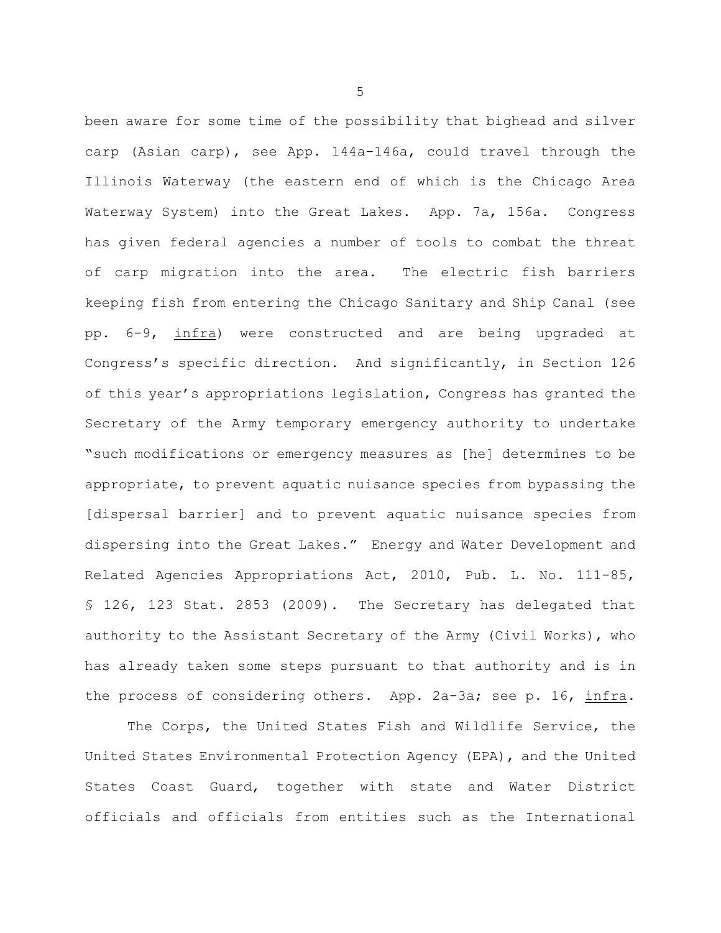been aware for some time of the possibility that bighead and silver carp (Asian carp), see App. 144a-146a, could travel through the Illinois Waterway (the eastern end of which is the Chicago Area Waterway System) into the Great Lakes. App. 7a, 156a. Congress has given federal agencies a number of tools to combat the threat of carp migration into the area. The electric fish barriers keeping fish from entering the Chicago Sanitary and Ship Canal (see pp. 6-9, infra) were constructed and are being upgraded at Congress's specific direction. And significantly, in Section 126 of this year's appropriations legislation, Congress has granted the Secretary of the Army temporary emergency authority to undertake "such modifications or emergency measures as [he] determines to be appropriate, to prevent aquatic nuisance species from bypassing the [dispersal barrier] and to prevent aquatic nuisance species from dispersing into the Great Lakes." Energy and Water Development and Related Agencies Appropriations Act, 2010, Pub. L. No. 111-85, § 126, 123 Stat. 2853 (2009). The Secretary has delegated that authority to the Assistant Secretary of the Army (Civil Works), who has already taken some steps pursuant to that authority and is in the process of considering others. App. 2a-3a; see p. 16, infra.

The Corps, the United States Fish and Wildlife Service, the United States Environmental Protection Agency (EPA), and the United States Coast Guard, together with state and Water District officials and officials from entities such as the International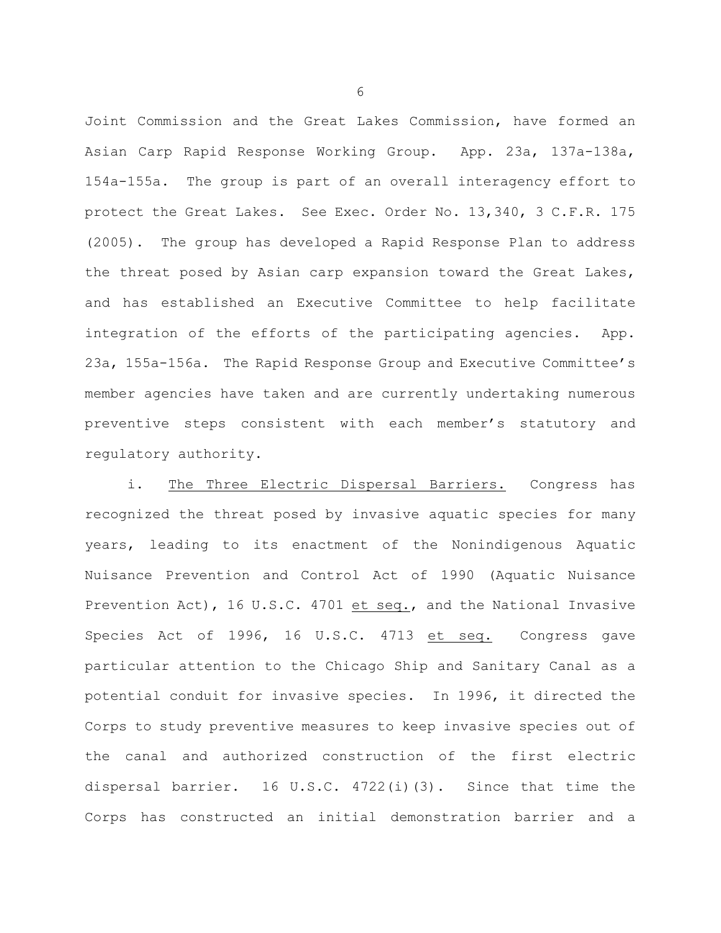Joint Commission and the Great Lakes Commission, have formed an Asian Carp Rapid Response Working Group. App. 23a, 137a-138a, 154a-155a. The group is part of an overall interagency effort to protect the Great Lakes. See Exec. Order No. 13,340, 3 C.F.R. 175 (2005). The group has developed a Rapid Response Plan to address the threat posed by Asian carp expansion toward the Great Lakes, and has established an Executive Committee to help facilitate integration of the efforts of the participating agencies. App. 23a, 155a-156a. The Rapid Response Group and Executive Committee's member agencies have taken and are currently undertaking numerous preventive steps consistent with each member's statutory and regulatory authority.

i. The Three Electric Dispersal Barriers. Congress has recognized the threat posed by invasive aquatic species for many years, leading to its enactment of the Nonindigenous Aquatic Nuisance Prevention and Control Act of 1990 (Aquatic Nuisance Prevention Act), 16 U.S.C. 4701 et seq., and the National Invasive Species Act of 1996, 16 U.S.C. 4713 et seq. Congress gave particular attention to the Chicago Ship and Sanitary Canal as a potential conduit for invasive species. In 1996, it directed the Corps to study preventive measures to keep invasive species out of the canal and authorized construction of the first electric dispersal barrier. 16 U.S.C. 4722(i)(3). Since that time the Corps has constructed an initial demonstration barrier and a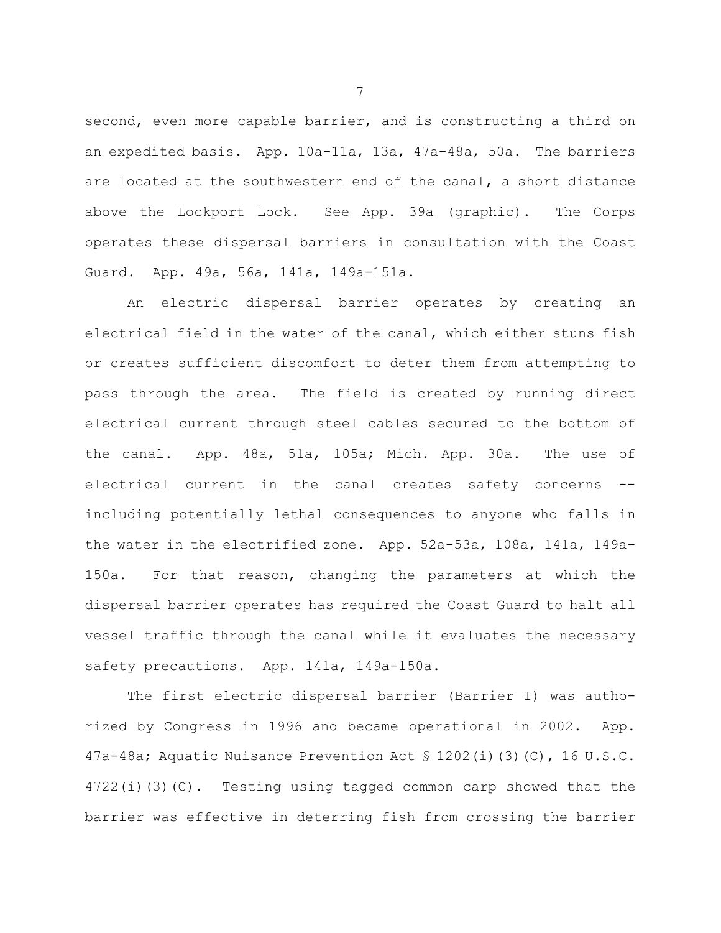second, even more capable barrier, and is constructing a third on an expedited basis. App. 10a-11a, 13a, 47a-48a, 50a. The barriers are located at the southwestern end of the canal, a short distance above the Lockport Lock. See App. 39a (graphic). The Corps operates these dispersal barriers in consultation with the Coast Guard. App. 49a, 56a, 141a, 149a-151a.

An electric dispersal barrier operates by creating an electrical field in the water of the canal, which either stuns fish or creates sufficient discomfort to deter them from attempting to pass through the area. The field is created by running direct electrical current through steel cables secured to the bottom of the canal. App. 48a, 51a, 105a; Mich. App. 30a. The use of electrical current in the canal creates safety concerns including potentially lethal consequences to anyone who falls in the water in the electrified zone. App. 52a-53a, 108a, 141a, 149a 150a. For that reason, changing the parameters at which the dispersal barrier operates has required the Coast Guard to halt all vessel traffic through the canal while it evaluates the necessary safety precautions. App. 141a, 149a-150a.

The first electric dispersal barrier (Barrier I) was autho rized by Congress in 1996 and became operational in 2002. App. 47a-48a; Aquatic Nuisance Prevention Act  $\frac{1202(i)}{3(i)}$  (C), 16 U.S.C. 4722(i)(3)(C). Testing using tagged common carp showed that the barrier was effective in deterring fish from crossing the barrier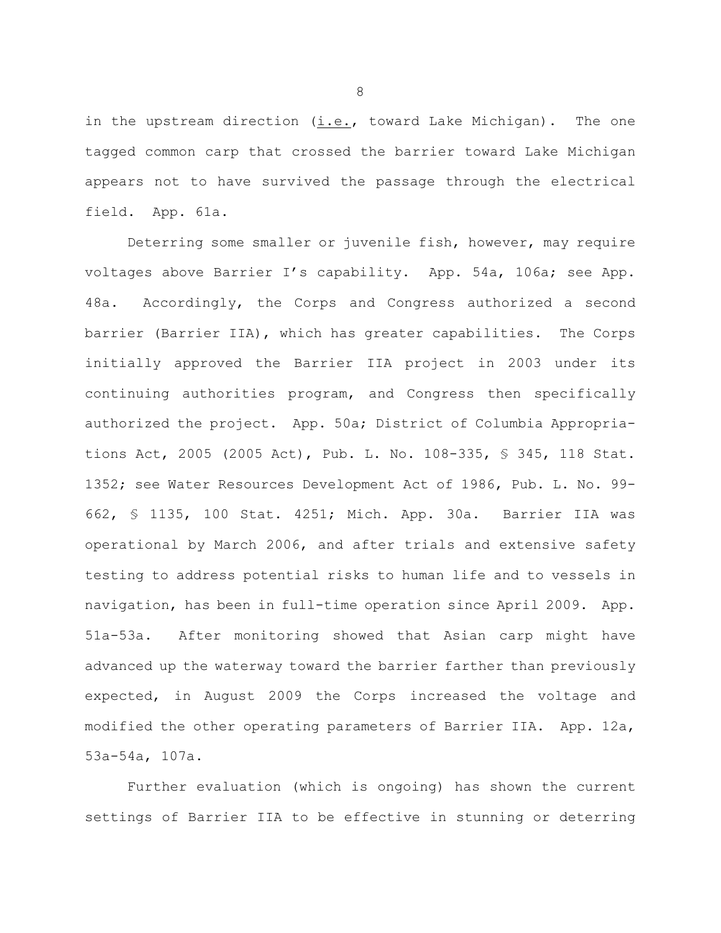in the upstream direction (i.e., toward Lake Michigan). The one tagged common carp that crossed the barrier toward Lake Michigan appears not to have survived the passage through the electrical field. App. 61a.

Deterring some smaller or juvenile fish, however, may require voltages above Barrier I's capability. App. 54a, 106a; see App. 48a. Accordingly, the Corps and Congress authorized a second barrier (Barrier IIA), which has greater capabilities. The Corps initially approved the Barrier IIA project in 2003 under its continuing authorities program, and Congress then specifically authorized the project. App. 50a; District of Columbia Appropria tions Act, 2005 (2005 Act), Pub. L. No. 108-335, § 345, 118 Stat. 1352; see Water Resources Development Act of 1986, Pub. L. No. 99 662, § 1135, 100 Stat. 4251; Mich. App. 30a. Barrier IIA was operational by March 2006, and after trials and extensive safety testing to address potential risks to human life and to vessels in navigation, has been in full-time operation since April 2009. App. 51a-53a. After monitoring showed that Asian carp might have advanced up the waterway toward the barrier farther than previously expected, in August 2009 the Corps increased the voltage and modified the other operating parameters of Barrier IIA. App. 12a, 53a-54a, 107a.

Further evaluation (which is ongoing) has shown the current settings of Barrier IIA to be effective in stunning or deterring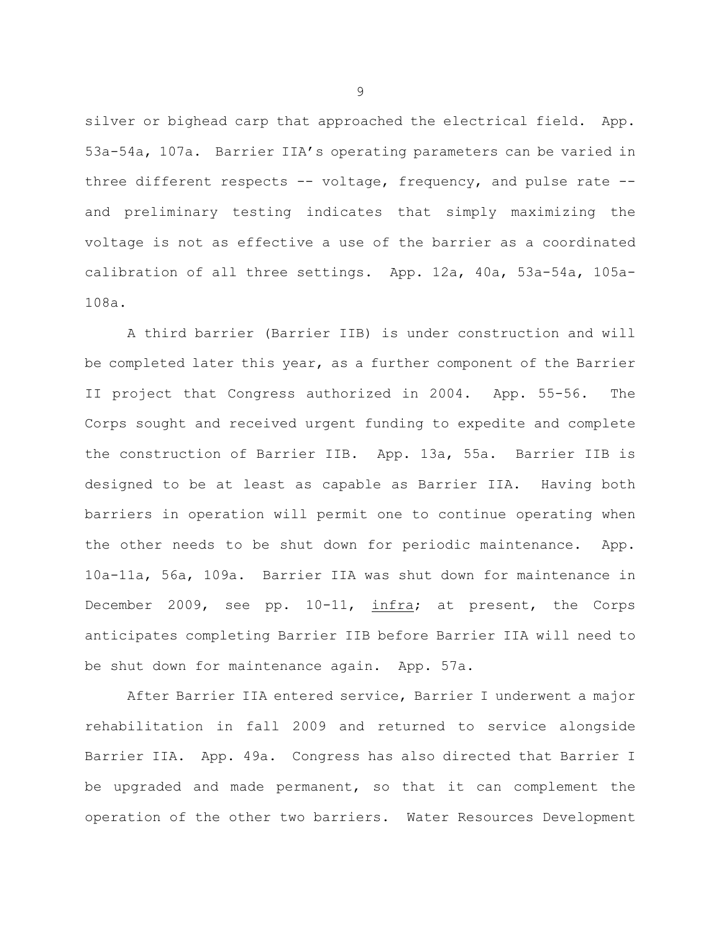silver or bighead carp that approached the electrical field. App. 53a-54a, 107a. Barrier IIA's operating parameters can be varied in three different respects -- voltage, frequency, and pulse rate -and preliminary testing indicates that simply maximizing the voltage is not as effective a use of the barrier as a coordinated calibration of all three settings. App. 12a, 40a, 53a-54a, 105a 108a.

A third barrier (Barrier IIB) is under construction and will be completed later this year, as a further component of the Barrier II project that Congress authorized in 2004. App. 55-56. The Corps sought and received urgent funding to expedite and complete the construction of Barrier IIB. App. 13a, 55a. Barrier IIB is designed to be at least as capable as Barrier IIA. Having both barriers in operation will permit one to continue operating when the other needs to be shut down for periodic maintenance. App. 10a-11a, 56a, 109a. Barrier IIA was shut down for maintenance in December 2009, see pp. 10-11, infra; at present, the Corps anticipates completing Barrier IIB before Barrier IIA will need to be shut down for maintenance again. App. 57a.

After Barrier IIA entered service, Barrier I underwent a major rehabilitation in fall 2009 and returned to service alongside Barrier IIA. App. 49a. Congress has also directed that Barrier I be upgraded and made permanent, so that it can complement the operation of the other two barriers. Water Resources Development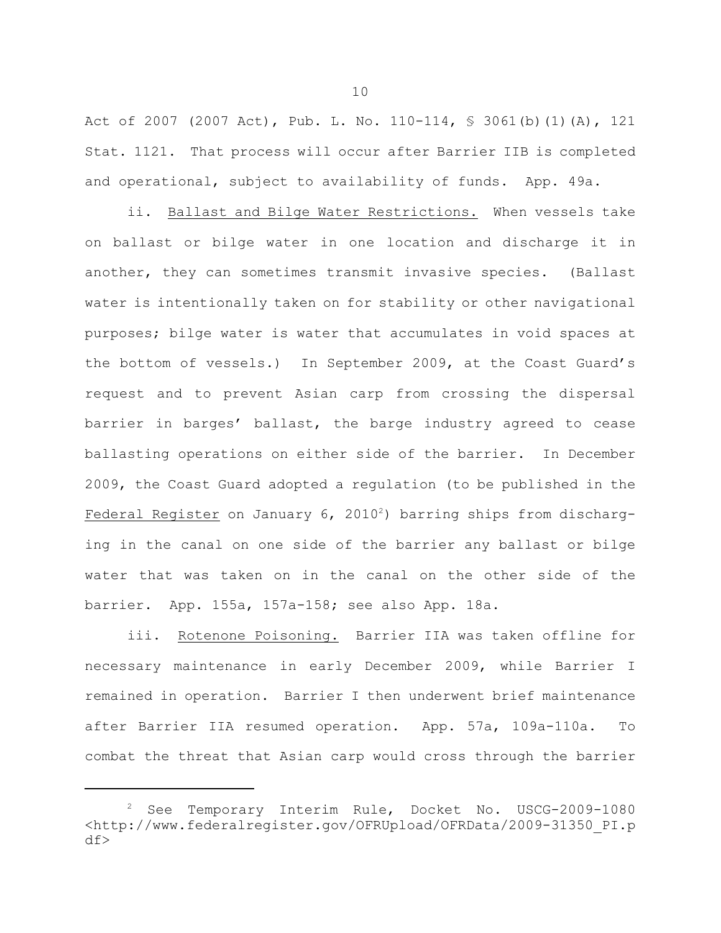Act of 2007 (2007 Act), Pub. L. No. 110-114, § 3061(b)(1)(A), 121 Stat. 1121. That process will occur after Barrier IIB is completed and operational, subject to availability of funds. App. 49a.

ii. Ballast and Bilge Water Restrictions. When vessels take on ballast or bilge water in one location and discharge it in another, they can sometimes transmit invasive species. (Ballast water is intentionally taken on for stability or other navigational purposes; bilge water is water that accumulates in void spaces at the bottom of vessels.) In September 2009, at the Coast Guard's request and to prevent Asian carp from crossing the dispersal barrier in barges' ballast, the barge industry agreed to cease ballasting operations on either side of the barrier. In December 2009, the Coast Guard adopted a regulation (to be published in the Federal Register on January 6, 2010<sup>2</sup>) barring ships from discharging in the canal on one side of the barrier any ballast or bilge water that was taken on in the canal on the other side of the barrier. App. 155a, 157a-158; see also App. 18a.

iii. Rotenone Poisoning. Barrier IIA was taken offline for necessary maintenance in early December 2009, while Barrier I remained in operation. Barrier I then underwent brief maintenance after Barrier IIA resumed operation. App. 57a, 109a-110a. To combat the threat that Asian carp would cross through the barrier

<sup>2</sup>  See Temporary Interim Rule, Docket No. USCG-2009-1080 <http://www.federalregister.gov/OFRUpload/OFRData/2009-31350\_PI.p df>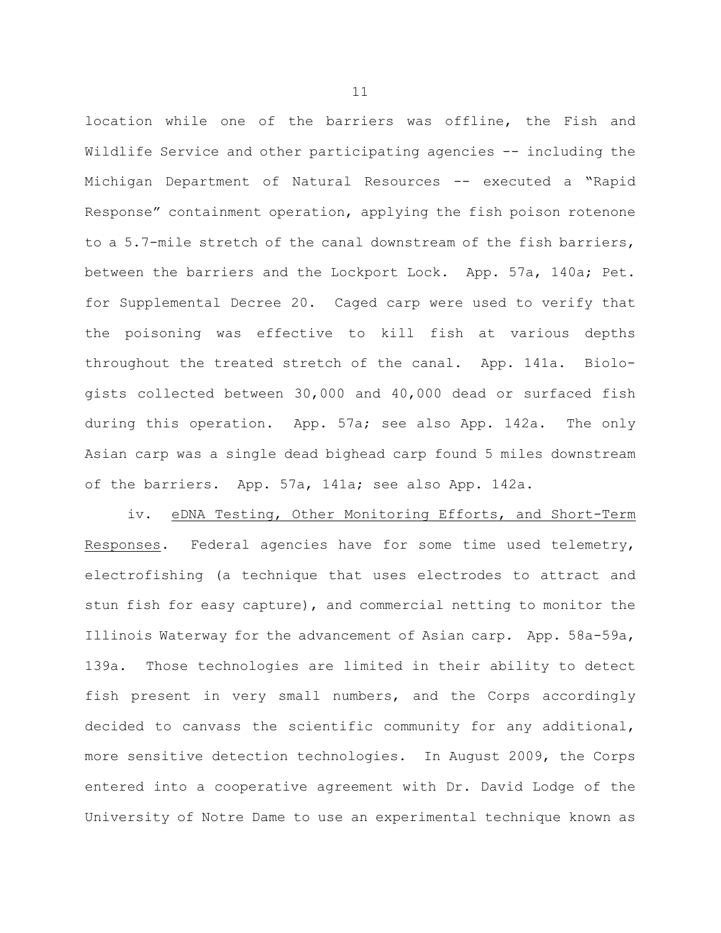location while one of the barriers was offline, the Fish and Wildlife Service and other participating agencies -- including the Michigan Department of Natural Resources -- executed a "Rapid Response" containment operation, applying the fish poison rotenone to a 5.7-mile stretch of the canal downstream of the fish barriers, between the barriers and the Lockport Lock. App. 57a, 140a; Pet. for Supplemental Decree 20. Caged carp were used to verify that the poisoning was effective to kill fish at various depths throughout the treated stretch of the canal. App. 141a. Biolo gists collected between 30,000 and 40,000 dead or surfaced fish during this operation. App. 57a; see also App. 142a. The only Asian carp was a single dead bighead carp found 5 miles downstream of the barriers. App. 57a, 141a; see also App. 142a.

iv. eDNA Testing, Other Monitoring Efforts, and Short-Term Responses. Federal agencies have for some time used telemetry, electrofishing (a technique that uses electrodes to attract and stun fish for easy capture), and commercial netting to monitor the Illinois Waterway for the advancement of Asian carp. App. 58a-59a, 139a. Those technologies are limited in their ability to detect fish present in very small numbers, and the Corps accordingly decided to canvass the scientific community for any additional, more sensitive detection technologies. In August 2009, the Corps entered into a cooperative agreement with Dr. David Lodge of the University of Notre Dame to use an experimental technique known as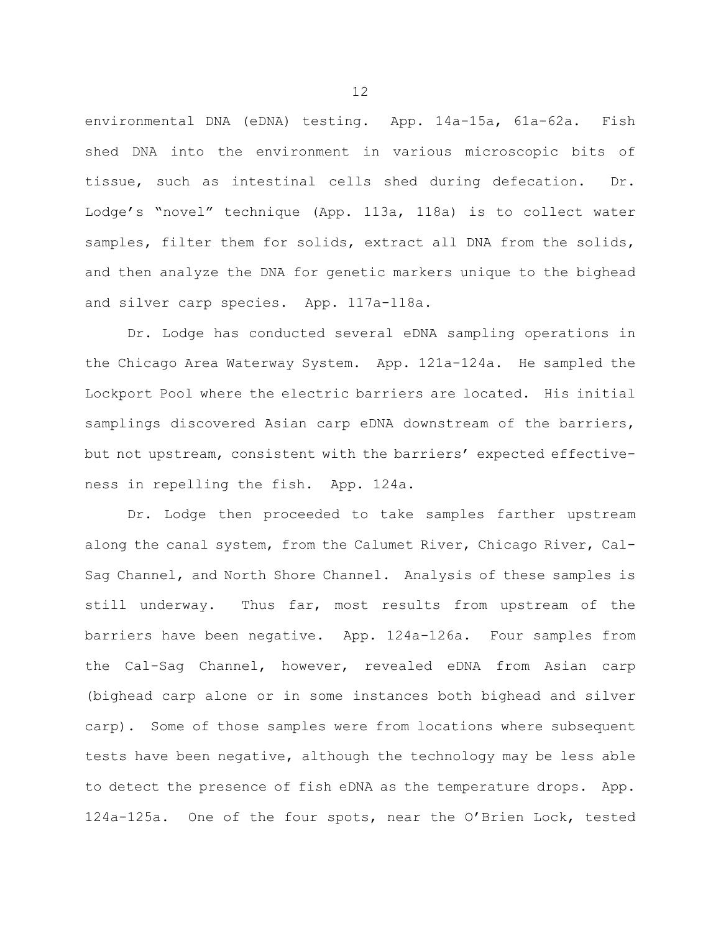environmental DNA (eDNA) testing. App. 14a-15a, 61a-62a. Fish shed DNA into the environment in various microscopic bits of tissue, such as intestinal cells shed during defecation. Dr. Lodge's "novel" technique (App. 113a, 118a) is to collect water samples, filter them for solids, extract all DNA from the solids, and then analyze the DNA for genetic markers unique to the bighead and silver carp species. App. 117a-118a.

Dr. Lodge has conducted several eDNA sampling operations in the Chicago Area Waterway System. App. 121a-124a. He sampled the Lockport Pool where the electric barriers are located. His initial samplings discovered Asian carp eDNA downstream of the barriers, but not upstream, consistent with the barriers' expected effective ness in repelling the fish. App. 124a.

Dr. Lodge then proceeded to take samples farther upstream along the canal system, from the Calumet River, Chicago River, Cal- Sag Channel, and North Shore Channel. Analysis of these samples is still underway. Thus far, most results from upstream of the barriers have been negative. App. 124a-126a. Four samples from the Cal-Sag Channel, however, revealed eDNA from Asian carp (bighead carp alone or in some instances both bighead and silver carp). Some of those samples were from locations where subsequent tests have been negative, although the technology may be less able to detect the presence of fish eDNA as the temperature drops. App. 124a-125a. One of the four spots, near the O'Brien Lock, tested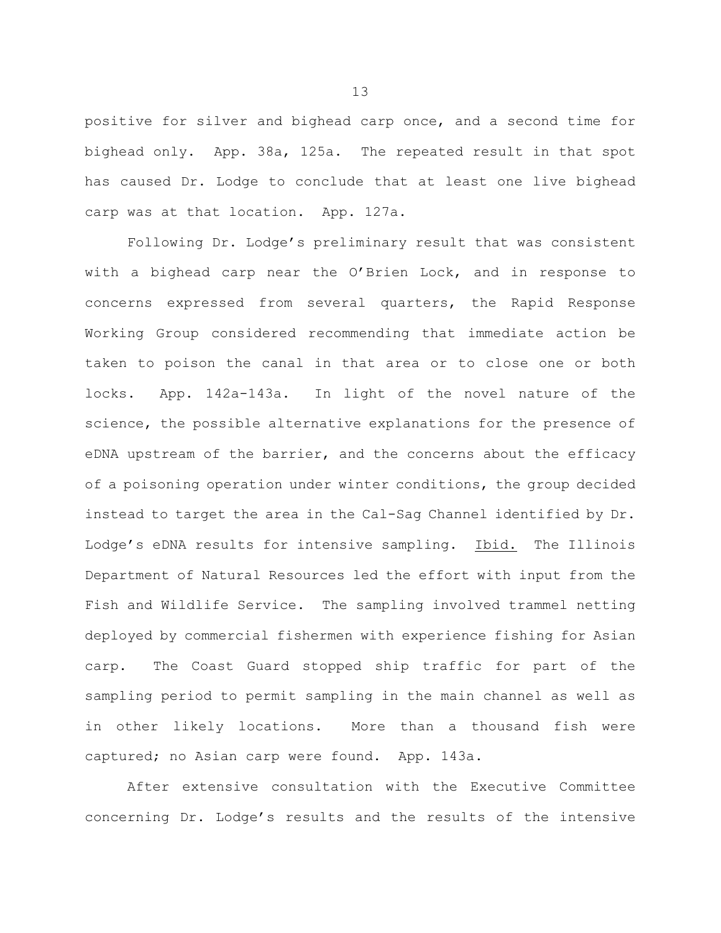positive for silver and bighead carp once, and a second time for bighead only. App. 38a, 125a. The repeated result in that spot has caused Dr. Lodge to conclude that at least one live bighead carp was at that location. App. 127a.

Following Dr. Lodge's preliminary result that was consistent with a bighead carp near the O'Brien Lock, and in response to concerns expressed from several quarters, the Rapid Response Working Group considered recommending that immediate action be taken to poison the canal in that area or to close one or both locks. App. 142a-143a. In light of the novel nature of the science, the possible alternative explanations for the presence of eDNA upstream of the barrier, and the concerns about the efficacy of a poisoning operation under winter conditions, the group decided instead to target the area in the Cal-Sag Channel identified by Dr. Lodge's eDNA results for intensive sampling. Ibid. The Illinois Department of Natural Resources led the effort with input from the Fish and Wildlife Service. The sampling involved trammel netting deployed by commercial fishermen with experience fishing for Asian carp. The Coast Guard stopped ship traffic for part of the sampling period to permit sampling in the main channel as well as in other likely locations. More than a thousand fish were captured; no Asian carp were found. App. 143a.

After extensive consultation with the Executive Committee concerning Dr. Lodge's results and the results of the intensive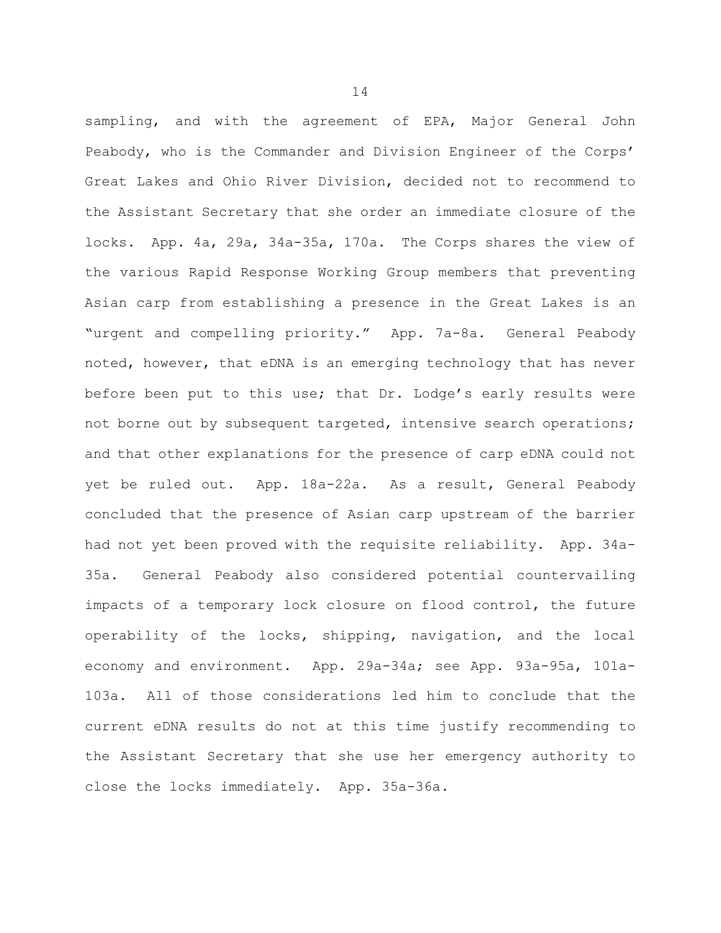sampling, and with the agreement of EPA, Major General John Peabody, who is the Commander and Division Engineer of the Corps' Great Lakes and Ohio River Division, decided not to recommend to the Assistant Secretary that she order an immediate closure of the locks. App. 4a, 29a, 34a-35a, 170a. The Corps shares the view of the various Rapid Response Working Group members that preventing Asian carp from establishing a presence in the Great Lakes is an "urgent and compelling priority." App. 7a-8a. General Peabody noted, however, that eDNA is an emerging technology that has never before been put to this use; that Dr. Lodge's early results were not borne out by subsequent targeted, intensive search operations; and that other explanations for the presence of carp eDNA could not yet be ruled out. App. 18a-22a. As a result, General Peabody concluded that the presence of Asian carp upstream of the barrier had not yet been proved with the requisite reliability. App. 34a 35a. General Peabody also considered potential countervailing impacts of a temporary lock closure on flood control, the future operability of the locks, shipping, navigation, and the local economy and environment. App. 29a-34a; see App. 93a-95a, 101a-103a. All of those considerations led him to conclude that the current eDNA results do not at this time justify recommending to the Assistant Secretary that she use her emergency authority to close the locks immediately. App. 35a-36a.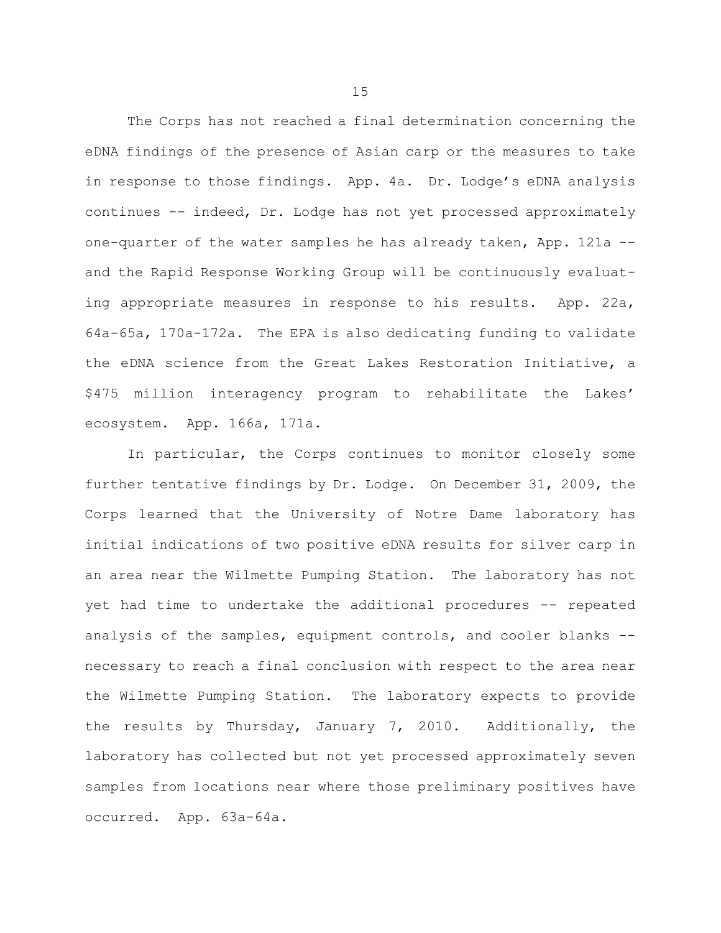The Corps has not reached a final determination concerning the eDNA findings of the presence of Asian carp or the measures to take in response to those findings. App. 4a. Dr. Lodge's eDNA analysis continues -- indeed, Dr. Lodge has not yet processed approximately one-quarter of the water samples he has already taken, App. 121a and the Rapid Response Working Group will be continuously evaluat ing appropriate measures in response to his results. App. 22a, 64a-65a, 170a-172a. The EPA is also dedicating funding to validate the eDNA science from the Great Lakes Restoration Initiative, a \$475 million interagency program to rehabilitate the Lakes' ecosystem. App. 166a, 171a.

In particular, the Corps continues to monitor closely some further tentative findings by Dr. Lodge. On December 31, 2009, the Corps learned that the University of Notre Dame laboratory has initial indications of two positive eDNA results for silver carp in an area near the Wilmette Pumping Station. The laboratory has not yet had time to undertake the additional procedures -- repeated analysis of the samples, equipment controls, and cooler blanks -necessary to reach a final conclusion with respect to the area near the Wilmette Pumping Station. The laboratory expects to provide the results by Thursday, January 7, 2010. Additionally, the laboratory has collected but not yet processed approximately seven samples from locations near where those preliminary positives have occurred. App. 63a-64a.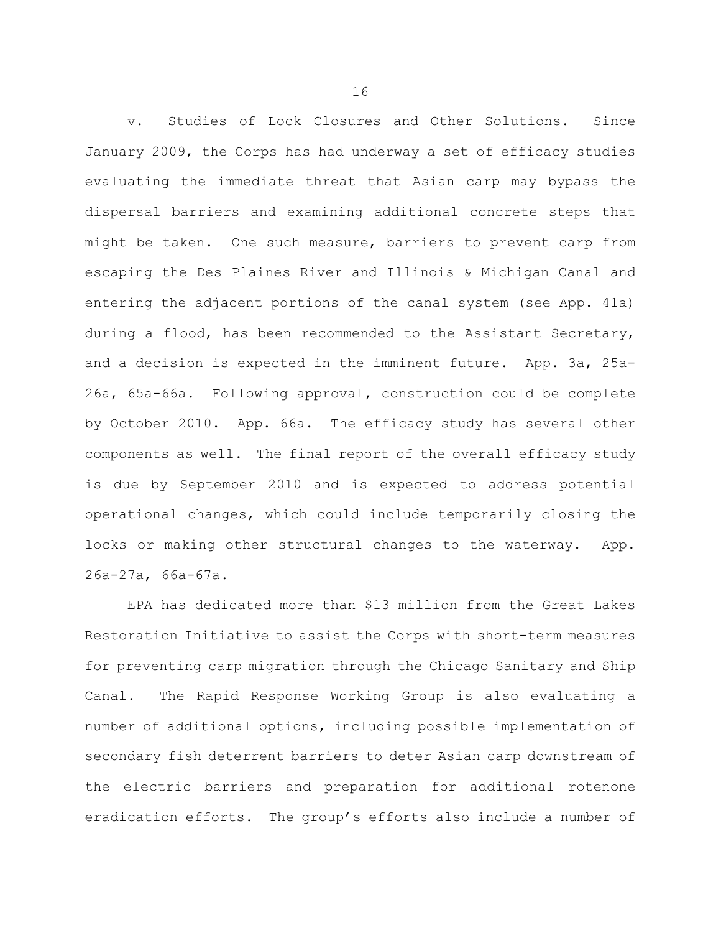v. Studies of Lock Closures and Other Solutions. Since January 2009, the Corps has had underway a set of efficacy studies evaluating the immediate threat that Asian carp may bypass the dispersal barriers and examining additional concrete steps that might be taken. One such measure, barriers to prevent carp from escaping the Des Plaines River and Illinois & Michigan Canal and entering the adjacent portions of the canal system (see App. 41a) during a flood, has been recommended to the Assistant Secretary, and a decision is expected in the imminent future. App. 3a, 25a 26a, 65a-66a. Following approval, construction could be complete by October 2010. App. 66a. The efficacy study has several other components as well. The final report of the overall efficacy study is due by September 2010 and is expected to address potential operational changes, which could include temporarily closing the locks or making other structural changes to the waterway. App. 26a-27a, 66a-67a.

EPA has dedicated more than \$13 million from the Great Lakes Restoration Initiative to assist the Corps with short-term measures for preventing carp migration through the Chicago Sanitary and Ship Canal. The Rapid Response Working Group is also evaluating a number of additional options, including possible implementation of secondary fish deterrent barriers to deter Asian carp downstream of the electric barriers and preparation for additional rotenone eradication efforts. The group's efforts also include a number of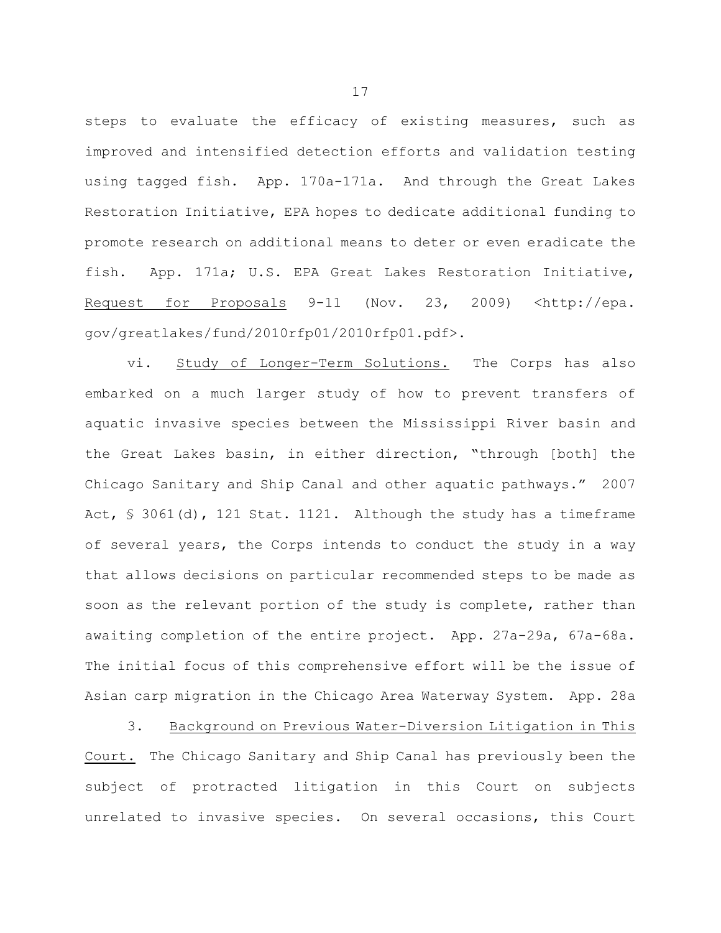steps to evaluate the efficacy of existing measures, such as improved and intensified detection efforts and validation testing using tagged fish. App. 170a-171a. And through the Great Lakes Restoration Initiative, EPA hopes to dedicate additional funding to promote research on additional means to deter or even eradicate the fish. App. 171a; U.S. EPA Great Lakes Restoration Initiative, Request for Proposals 9-11 (Nov. 23, 2009) <http://epa. gov/greatlakes/fund/2010rfp01/2010rfp01.pdf>.

vi. Study of Longer-Term Solutions. The Corps has also embarked on a much larger study of how to prevent transfers of aquatic invasive species between the Mississippi River basin and the Great Lakes basin, in either direction, "through [both] the Chicago Sanitary and Ship Canal and other aquatic pathways." 2007 Act, § 3061(d), 121 Stat. 1121. Although the study has a timeframe of several years, the Corps intends to conduct the study in a way that allows decisions on particular recommended steps to be made as soon as the relevant portion of the study is complete, rather than awaiting completion of the entire project. App. 27a-29a, 67a-68a. The initial focus of this comprehensive effort will be the issue of Asian carp migration in the Chicago Area Waterway System. App. 28a

3. Background on Previous Water-Diversion Litigation in This Court. The Chicago Sanitary and Ship Canal has previously been the subject of protracted litigation in this Court on subjects unrelated to invasive species. On several occasions, this Court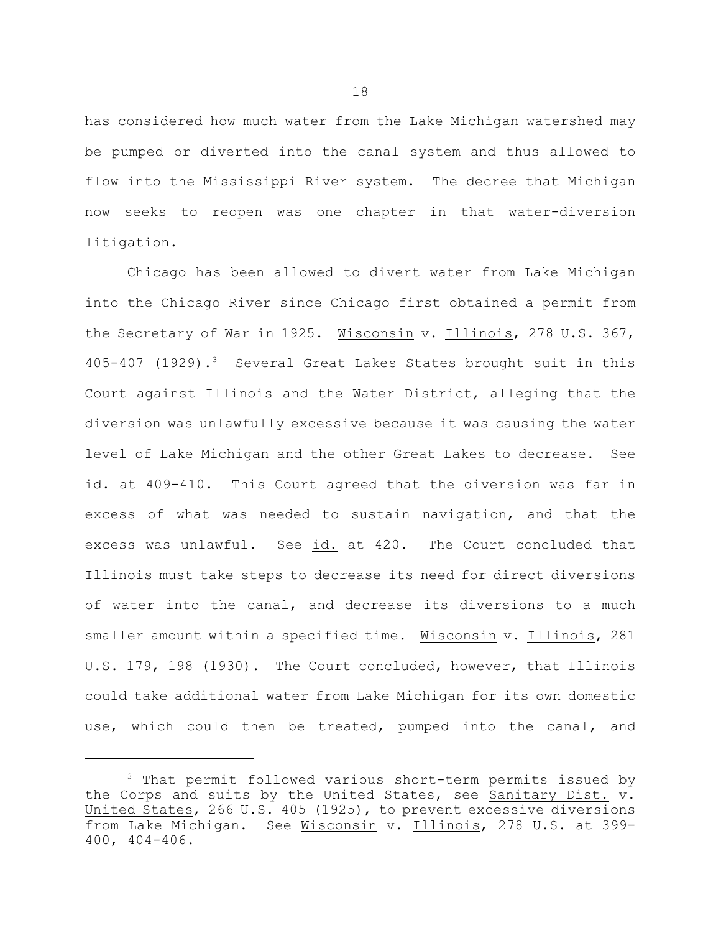has considered how much water from the Lake Michigan watershed may be pumped or diverted into the canal system and thus allowed to flow into the Mississippi River system. The decree that Michigan now seeks to reopen was one chapter in that water-diversion litigation.

Chicago has been allowed to divert water from Lake Michigan into the Chicago River since Chicago first obtained a permit from the Secretary of War in 1925. Wisconsin v. Illinois, 278 U.S. 367, 405-407 (1929).<sup>3</sup> Several Great Lakes States brought suit in this Court against Illinois and the Water District, alleging that the diversion was unlawfully excessive because it was causing the water level of Lake Michigan and the other Great Lakes to decrease. See id. at 409-410. This Court agreed that the diversion was far in excess of what was needed to sustain navigation, and that the excess was unlawful. See id. at 420. The Court concluded that Illinois must take steps to decrease its need for direct diversions of water into the canal, and decrease its diversions to a much smaller amount within a specified time. Wisconsin v. Illinois, 281 U.S. 179, 198 (1930). The Court concluded, however, that Illinois could take additional water from Lake Michigan for its own domestic use, which could then be treated, pumped into the canal, and

<sup>&</sup>lt;sup>3</sup> That permit followed various short-term permits issued by the Corps and suits by the United States, see Sanitary Dist. v. United States, 266 U.S. 405 (1925), to prevent excessive diversions from Lake Michigan. See Wisconsin v. Illinois, 278 U.S. at 399-400, 404-406.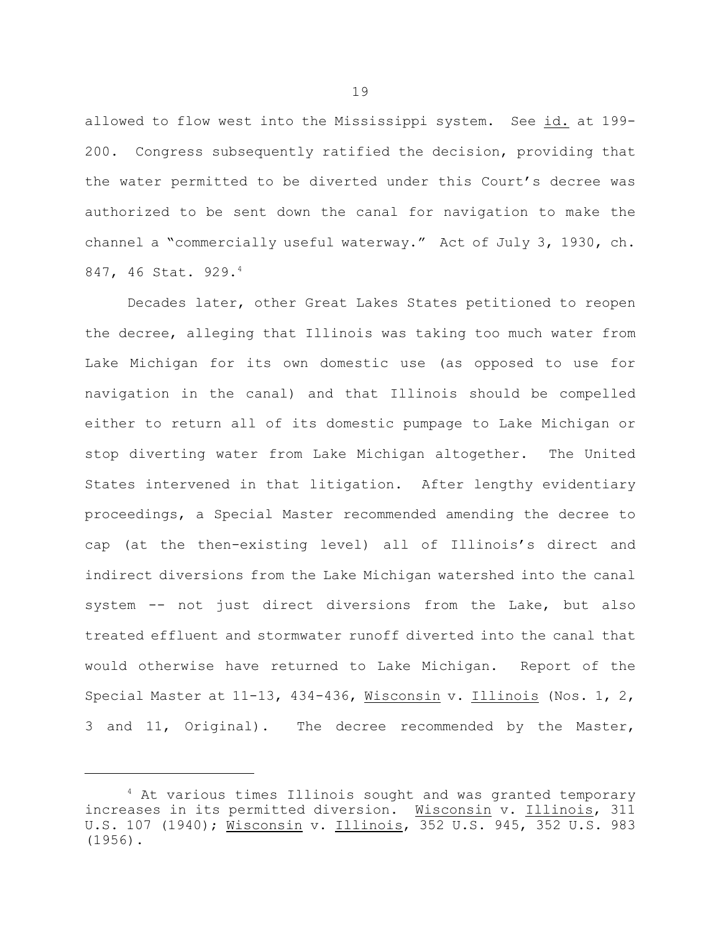allowed to flow west into the Mississippi system. See id. at 199-200. Congress subsequently ratified the decision, providing that the water permitted to be diverted under this Court's decree was authorized to be sent down the canal for navigation to make the channel a "commercially useful waterway." Act of July 3, 1930, ch. 847, 46 Stat. 929.4

Decades later, other Great Lakes States petitioned to reopen the decree, alleging that Illinois was taking too much water from Lake Michigan for its own domestic use (as opposed to use for navigation in the canal) and that Illinois should be compelled either to return all of its domestic pumpage to Lake Michigan or stop diverting water from Lake Michigan altogether. The United States intervened in that litigation. After lengthy evidentiary proceedings, a Special Master recommended amending the decree to cap (at the then-existing level) all of Illinois's direct and indirect diversions from the Lake Michigan watershed into the canal system -- not just direct diversions from the Lake, but also treated effluent and stormwater runoff diverted into the canal that would otherwise have returned to Lake Michigan. Report of the Special Master at 11-13, 434-436, Wisconsin v. Illinois (Nos. 1, 2, 3 and 11, Original). The decree recommended by the Master,

<sup>&</sup>lt;sup>4</sup> At various times Illinois sought and was granted temporary increases in its permitted diversion. Wisconsin v. Illinois, 311 U.S. 107 (1940); Wisconsin v. Illinois, 352 U.S. 945, 352 U.S. 983 (1956).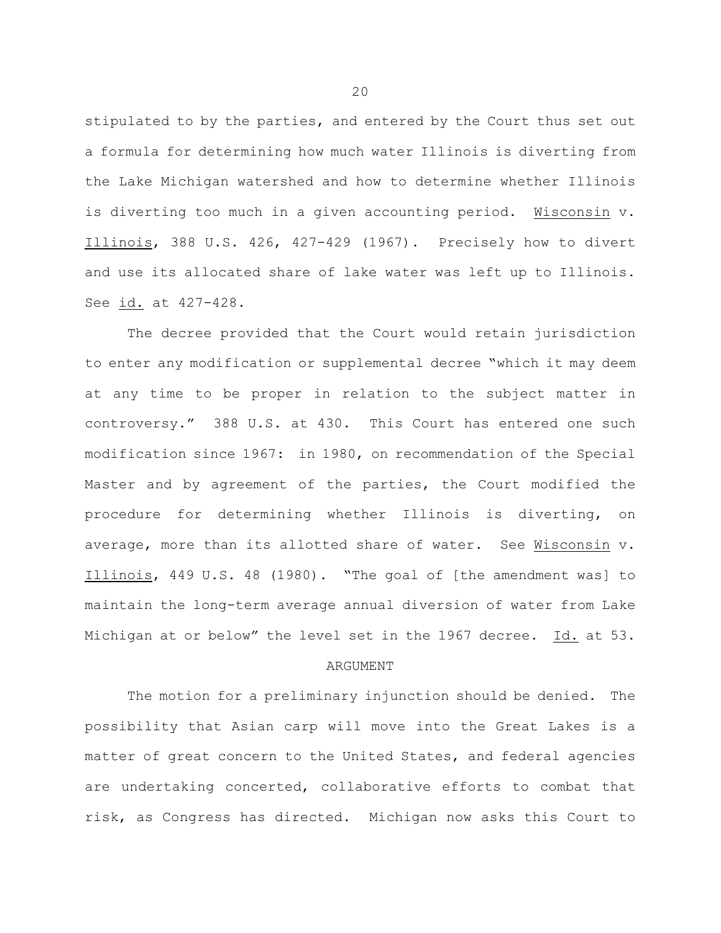stipulated to by the parties, and entered by the Court thus set out a formula for determining how much water Illinois is diverting from the Lake Michigan watershed and how to determine whether Illinois is diverting too much in a given accounting period. Wisconsin v. Illinois, 388 U.S. 426, 427-429 (1967). Precisely how to divert and use its allocated share of lake water was left up to Illinois. See id. at 427-428.

The decree provided that the Court would retain jurisdiction to enter any modification or supplemental decree "which it may deem at any time to be proper in relation to the subject matter in controversy." 388 U.S. at 430. This Court has entered one such modification since 1967: in 1980, on recommendation of the Special Master and by agreement of the parties, the Court modified the procedure for determining whether Illinois is diverting, on average, more than its allotted share of water. See Wisconsin v. Illinois, 449 U.S. 48 (1980). "The goal of [the amendment was] to maintain the long-term average annual diversion of water from Lake Michigan at or below" the level set in the 1967 decree. Id. at 53.

## ARGUMENT

The motion for a preliminary injunction should be denied. The possibility that Asian carp will move into the Great Lakes is a matter of great concern to the United States, and federal agencies are undertaking concerted, collaborative efforts to combat that risk, as Congress has directed. Michigan now asks this Court to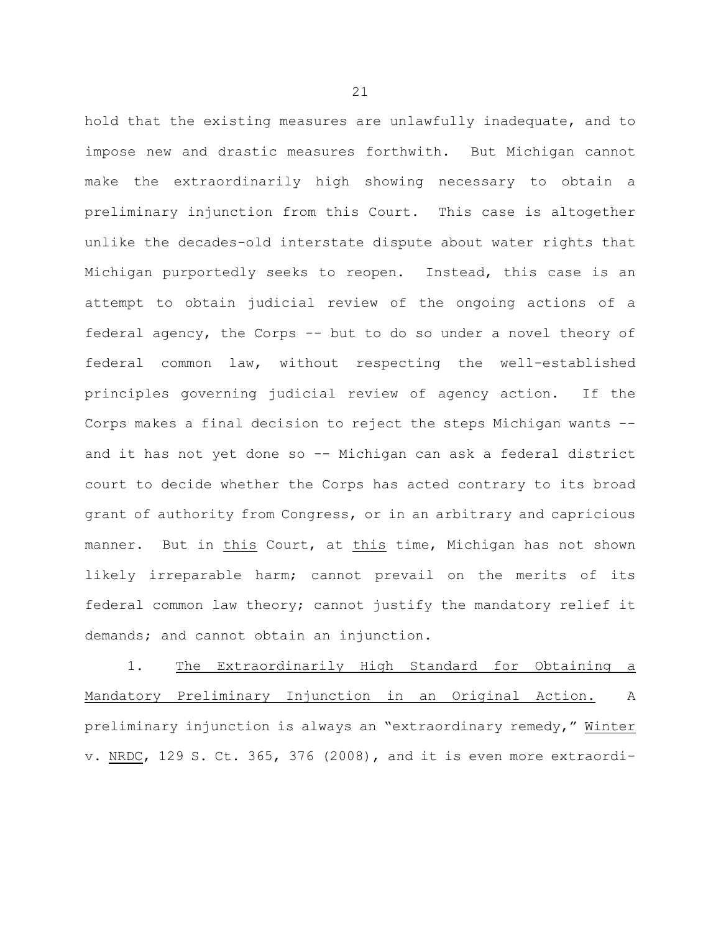hold that the existing measures are unlawfully inadequate, and to impose new and drastic measures forthwith. But Michigan cannot make the extraordinarily high showing necessary to obtain a preliminary injunction from this Court. This case is altogether unlike the decades-old interstate dispute about water rights that Michigan purportedly seeks to reopen. Instead, this case is an attempt to obtain judicial review of the ongoing actions of a federal agency, the Corps -- but to do so under a novel theory of federal common law, without respecting the well-established principles governing judicial review of agency action. If the Corps makes a final decision to reject the steps Michigan wants and it has not yet done so -- Michigan can ask a federal district court to decide whether the Corps has acted contrary to its broad grant of authority from Congress, or in an arbitrary and capricious manner. But in <u>this</u> Court, at <u>this</u> time, Michigan has not shown likely irreparable harm; cannot prevail on the merits of its federal common law theory; cannot justify the mandatory relief it demands; and cannot obtain an injunction.

1. The Extraordinarily High Standard for Obtaining a Mandatory Preliminary Injunction in an Original Action. A preliminary injunction is always an "extraordinary remedy," <u>Winter</u> v. NRDC, 129 S. Ct. 365, 376 (2008), and it is even more extraordi-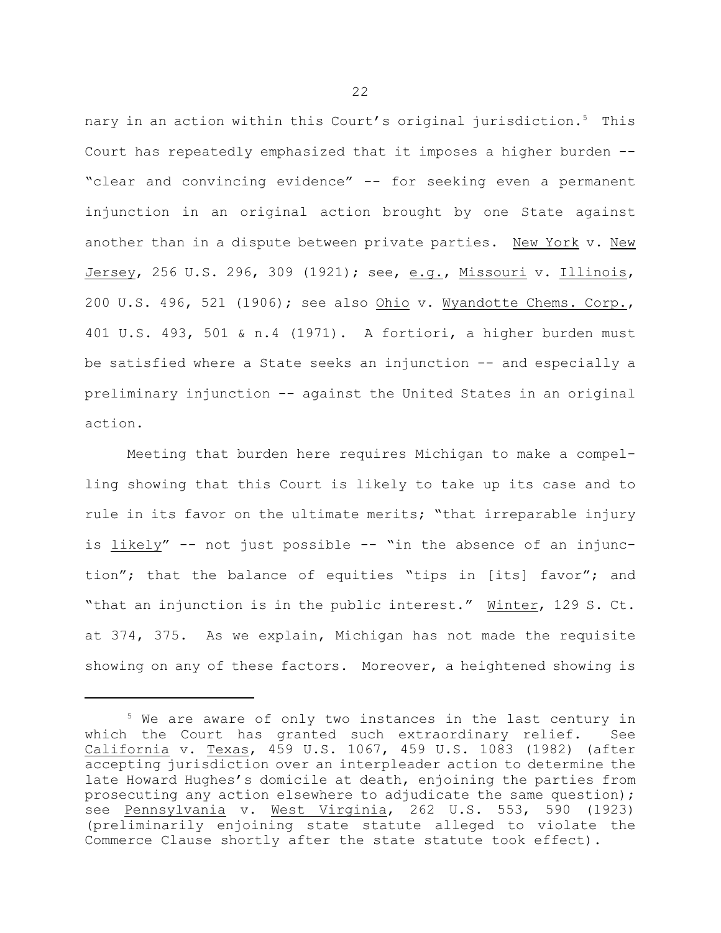nary in an action within this Court's original jurisdiction.<sup>5</sup> This Court has repeatedly emphasized that it imposes a higher burden - "clear and convincing evidence" -- for seeking even a permanent injunction in an original action brought by one State against another than in a dispute between private parties. New York v. New Jersey, 256 U.S. 296, 309 (1921); see, e.g., Missouri v. Illinois, 200 U.S. 496, 521 (1906); see also Ohio v. Wyandotte Chems. Corp., 401 U.S. 493, 501 & n.4 (1971). A fortiori, a higher burden must be satisfied where a State seeks an injunction -- and especially a preliminary injunction -- against the United States in an original action.

Meeting that burden here requires Michigan to make a compel ling showing that this Court is likely to take up its case and to rule in its favor on the ultimate merits; "that irreparable injury is likely" -- not just possible -- "in the absence of an injunction"; that the balance of equities "tips in [its] favor"; and "that an injunction is in the public interest." Winter, 129 S. Ct. at 374, 375. As we explain, Michigan has not made the requisite showing on any of these factors. Moreover, a heightened showing is

<sup>&</sup>lt;sup>5</sup> We are aware of only two instances in the last century in which the Court has granted such extraordinary relief. See California v. Texas, 459 U.S. 1067, 459 U.S. 1083 (1982) (after accepting jurisdiction over an interpleader action to determine the late Howard Hughes's domicile at death, enjoining the parties from prosecuting any action elsewhere to adjudicate the same question); see <u>Pennsylvania</u> v. <u>West Virginia</u>, 262 U.S. 553, 590 (1923) (preliminarily enjoining state statute alleged to violate the Commerce Clause shortly after the state statute took effect).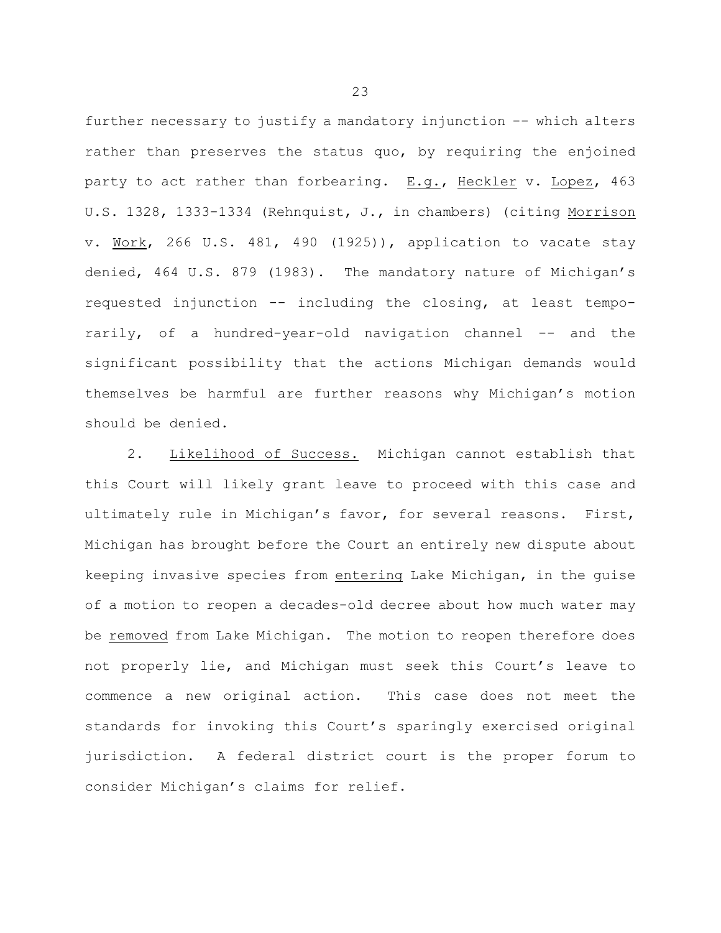further necessary to justify a mandatory injunction -- which alters rather than preserves the status quo, by requiring the enjoined party to act rather than forbearing. E.g., Heckler v. Lopez, 463 U.S. 1328, 1333-1334 (Rehnquist, J., in chambers) (citing Morrison v. <u>Work</u>, 266 U.S. 481, 490 (1925)), application to vacate stay denied, 464 U.S. 879 (1983). The mandatory nature of Michigan's requested injunction -- including the closing, at least tempo rarily, of a hundred-year-old navigation channel -- and the significant possibility that the actions Michigan demands would themselves be harmful are further reasons why Michigan's motion should be denied.

2. Likelihood of Success. Michigan cannot establish that this Court will likely grant leave to proceed with this case and ultimately rule in Michigan's favor, for several reasons. First, Michigan has brought before the Court an entirely new dispute about keeping invasive species from entering Lake Michigan, in the guise of a motion to reopen a decades-old decree about how much water may be <u>removed</u> from Lake Michigan. The motion to reopen therefore does not properly lie, and Michigan must seek this Court's leave to commence a new original action. This case does not meet the standards for invoking this Court's sparingly exercised original jurisdiction. A federal district court is the proper forum to consider Michigan's claims for relief.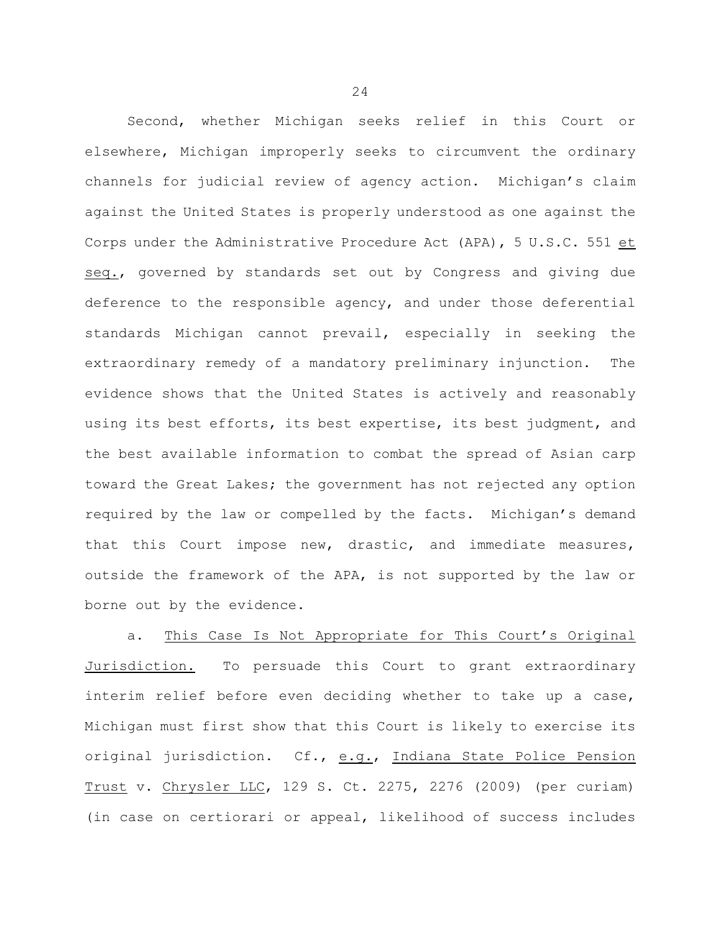Second, whether Michigan seeks relief in this Court elsewhere, Michigan improperly seeks to circumvent the ordinary channels for judicial review of agency action. Michigan's claim against the United States is properly understood as one against the Corps under the Administrative Procedure Act (APA), 5 U.S.C. 551 et seq., governed by standards set out by Congress and giving due deference to the responsible agency, and under those deferential standards Michigan cannot prevail, especially in seeking the extraordinary remedy of a mandatory preliminary injunction. The evidence shows that the United States is actively and reasonably using its best efforts, its best expertise, its best judgment, and the best available information to combat the spread of Asian carp toward the Great Lakes; the government has not rejected any option required by the law or compelled by the facts. Michigan's demand that this Court impose new, drastic, and immediate measures, outside the framework of the APA, is not supported by the law or borne out by the evidence.

a. This Case Is Not Appropriate for This Court's Original Jurisdiction. To persuade this Court to grant extraordinary interim relief before even deciding whether to take up a case, Michigan must first show that this Court is likely to exercise its original jurisdiction. Cf., e.g., Indiana State Police Pension Trust v. Chrysler LLC, 129 S. Ct. 2275, 2276 (2009) (per curiam) (in case on certiorari or appeal, likelihood of success includes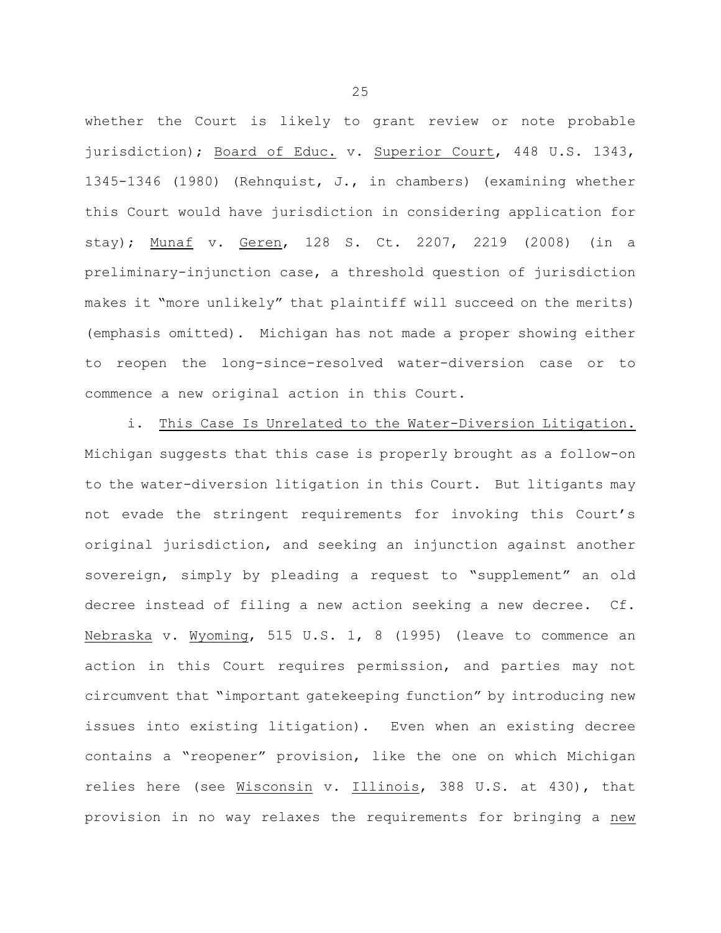whether the Court is likely to grant review or note probable jurisdiction); Board of Educ. v. Superior Court, 448 U.S. 1343, 1345-1346 (1980) (Rehnquist, J., in chambers) (examining whether this Court would have jurisdiction in considering application for stay); Munaf v. Geren, 128 S. Ct. 2207, 2219 (2008) (in a preliminary-injunction case, a threshold question of jurisdiction makes it "more unlikely" that plaintiff will succeed on the merits) (emphasis omitted). Michigan has not made a proper showing either to reopen the long-since-resolved water-diversion case or to commence a new original action in this Court.

i. This Case Is Unrelated to the Water-Diversion Litigation. Michigan suggests that this case is properly brought as a follow-on to the water-diversion litigation in this Court. But litigants may not evade the stringent requirements for invoking this Court's original jurisdiction, and seeking an injunction against another sovereign, simply by pleading a request to "supplement" an old decree instead of filing a new action seeking a new decree. Cf. Nebraska v. Wyoming, 515 U.S. 1, 8 (1995) (leave to commence an action in this Court requires permission, and parties may not circumvent that "important gatekeeping function" by introducing new issues into existing litigation). Even when an existing decree contains a "reopener" provision, like the one on which Michigan relies here (see Wisconsin v. Illinois, 388 U.S. at 430), that provision in no way relaxes the requirements for bringing a new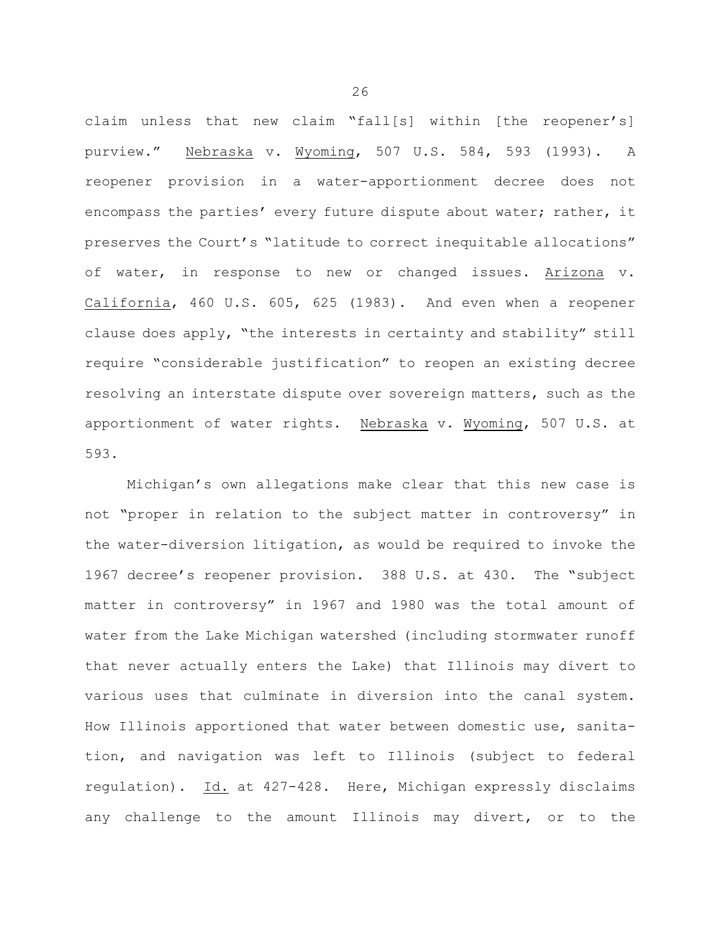claim unless that new claim "fall[s] within [the reopener's] purview." Nebraska v. Wyoming, 507 U.S. 584, 593 (1993). A reopener provision in a water-apportionment decree does not encompass the parties' every future dispute about water; rather, it preserves the Court's "latitude to correct inequitable allocations" of water, in response to new or changed issues. Arizona v. California, 460 U.S. 605, 625 (1983). And even when a reopener clause does apply, "the interests in certainty and stability" still require "considerable justification" to reopen an existing decree resolving an interstate dispute over sovereign matters, such as the apportionment of water rights. Nebraska v. Wyoming, 507 U.S. at 593.

Michigan's own allegations make clear that this new case is not "proper in relation to the subject matter in controversy" in the water-diversion litigation, as would be required to invoke the 1967 decree's reopener provision. 388 U.S. at 430. The "subject matter in controversy" in 1967 and 1980 was the total amount of water from the Lake Michigan watershed (including stormwater runoff that never actually enters the Lake) that Illinois may divert to various uses that culminate in diversion into the canal system. How Illinois apportioned that water between domestic use, sanita tion, and navigation was left to Illinois (subject to federal regulation). Id. at 427-428. Here, Michigan expressly disclaims any challenge to the amount Illinois may divert, or to the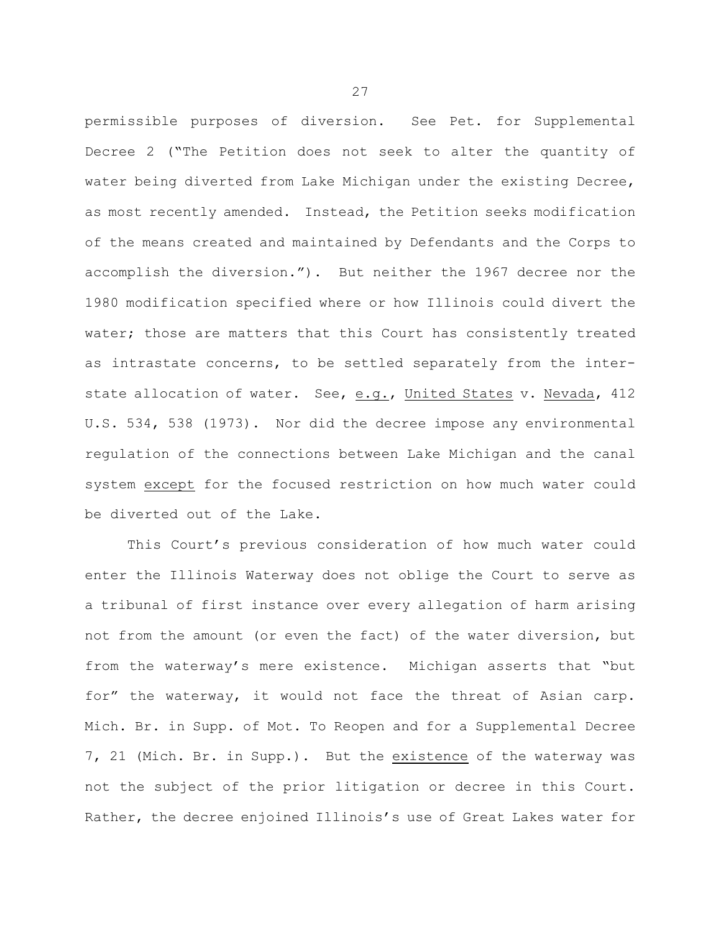permissible purposes of diversion. See Pet. for Supplemental Decree 2 ("The Petition does not seek to alter the quantity of water being diverted from Lake Michigan under the existing Decree, as most recently amended. Instead, the Petition seeks modification of the means created and maintained by Defendants and the Corps to accomplish the diversion."). But neither the 1967 decree nor the 1980 modification specified where or how Illinois could divert the water; those are matters that this Court has consistently treated as intrastate concerns, to be settled separately from the inter state allocation of water. See, e.g., United States v. Nevada, 412 U.S. 534, 538 (1973). Nor did the decree impose any environmental regulation of the connections between Lake Michigan and the canal system except for the focused restriction on how much water could be diverted out of the Lake.

This Court's previous consideration of how much water could enter the Illinois Waterway does not oblige the Court to serve as a tribunal of first instance over every allegation of harm arising not from the amount (or even the fact) of the water diversion, but from the waterway's mere existence. Michigan asserts that "but for" the waterway, it would not face the threat of Asian carp. Mich. Br. in Supp. of Mot. To Reopen and for a Supplemental Decree 7, 21 (Mich. Br. in Supp.). But the existence of the waterway was not the subject of the prior litigation or decree in this Court. Rather, the decree enjoined Illinois's use of Great Lakes water for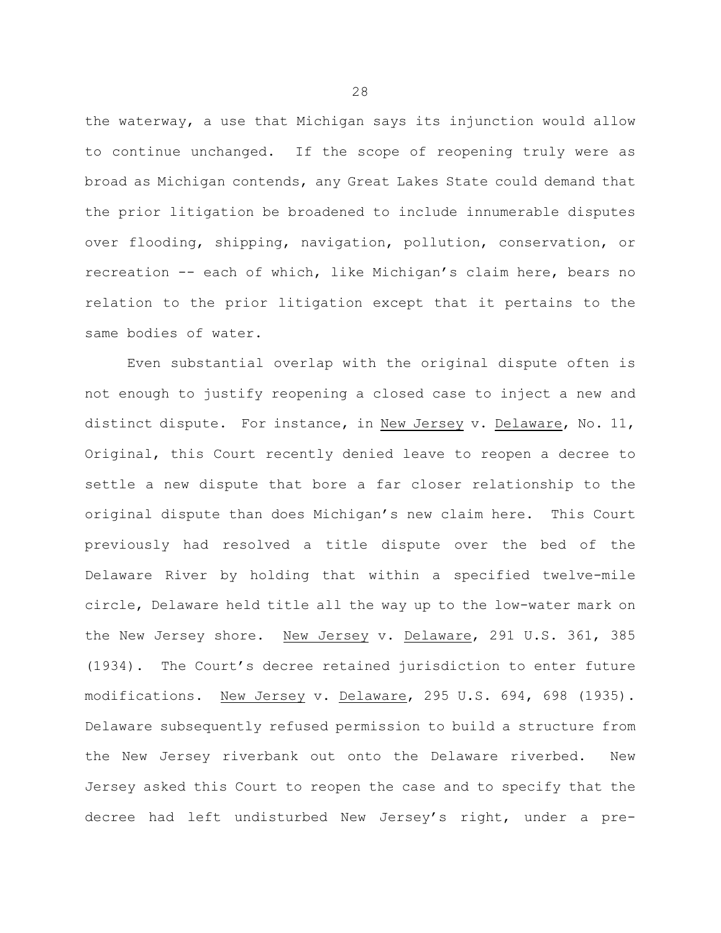the waterway, a use that Michigan says its injunction would allow to continue unchanged. If the scope of reopening truly were as broad as Michigan contends, any Great Lakes State could demand that the prior litigation be broadened to include innumerable disputes over flooding, shipping, navigation, pollution, conservation, or recreation -- each of which, like Michigan's claim here, bears no relation to the prior litigation except that it pertains to the same bodies of water.

Even substantial overlap with the original dispute often is not enough to justify reopening a closed case to inject a new and distinct dispute. For instance, in New Jersey v. Delaware, No. 11, Original, this Court recently denied leave to reopen a decree to settle a new dispute that bore a far closer relationship to the original dispute than does Michigan's new claim here. This Court previously had resolved a title dispute over the bed of the Delaware River by holding that within a specified twelve-mile circle, Delaware held title all the way up to the low-water mark on the New Jersey shore. New Jersey v. Delaware, 291 U.S. 361, 385 (1934). The Court's decree retained jurisdiction to enter future modifications. <u>New Jersey</u> v. <u>Delaware</u>, 295 U.S. 694, 698 (1935). Delaware subsequently refused permission to build a structure from the New Jersey riverbank out onto the Delaware riverbed. New Jersey asked this Court to reopen the case and to specify that the decree had left undisturbed New Jersey's right, under a pre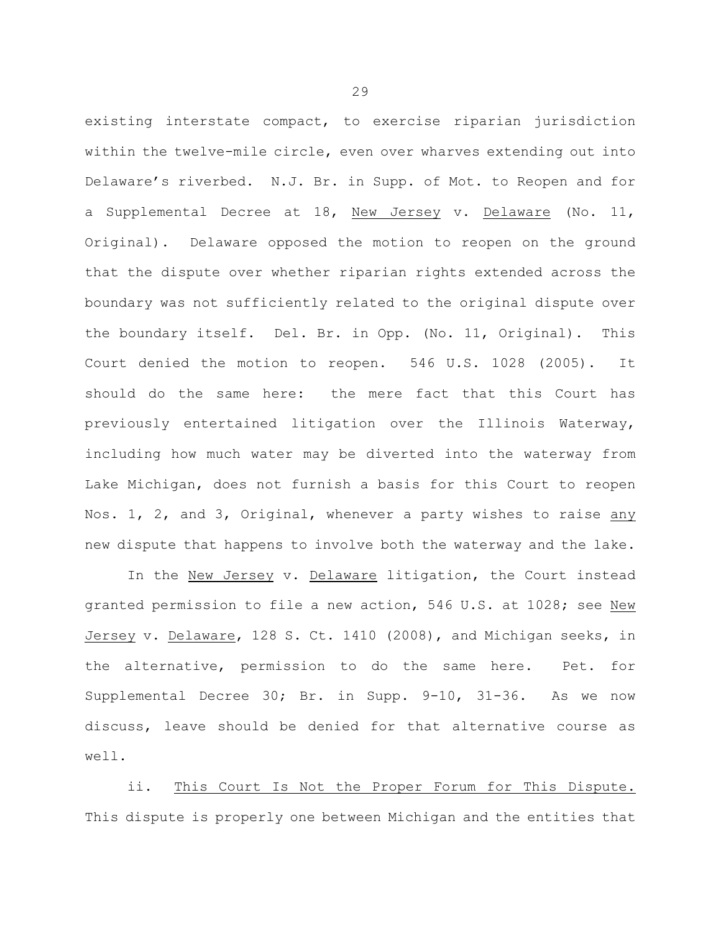existing interstate compact, to exercise riparian jurisdiction within the twelve-mile circle, even over wharves extending out into Delaware's riverbed. N.J. Br. in Supp. of Mot. to Reopen and for a Supplemental Decree at 18, New Jersey v. Delaware (No. 11, Original). Delaware opposed the motion to reopen on the ground that the dispute over whether riparian rights extended across the boundary was not sufficiently related to the original dispute over the boundary itself. Del. Br. in Opp. (No. 11, Original). This Court denied the motion to reopen. 546 U.S. 1028 (2005). It should do the same here: the mere fact that this Court has previously entertained litigation over the Illinois Waterway, including how much water may be diverted into the waterway from Lake Michigan, does not furnish a basis for this Court to reopen Nos. 1, 2, and 3, Original, whenever a party wishes to raise any new dispute that happens to involve both the waterway and the lake.

In the New Jersey v. Delaware litigation, the Court instead granted permission to file a new action, 546 U.S. at 1028; see New Jersey v. Delaware, 128 S. Ct. 1410 (2008), and Michigan seeks, in the alternative, permission to do the same here. Pet. for Supplemental Decree 30; Br. in Supp. 9-10, 31-36. As we now discuss, leave should be denied for that alternative course as well.

ii. This Court Is Not the Proper Forum for This Dispute. This dispute is properly one between Michigan and the entities that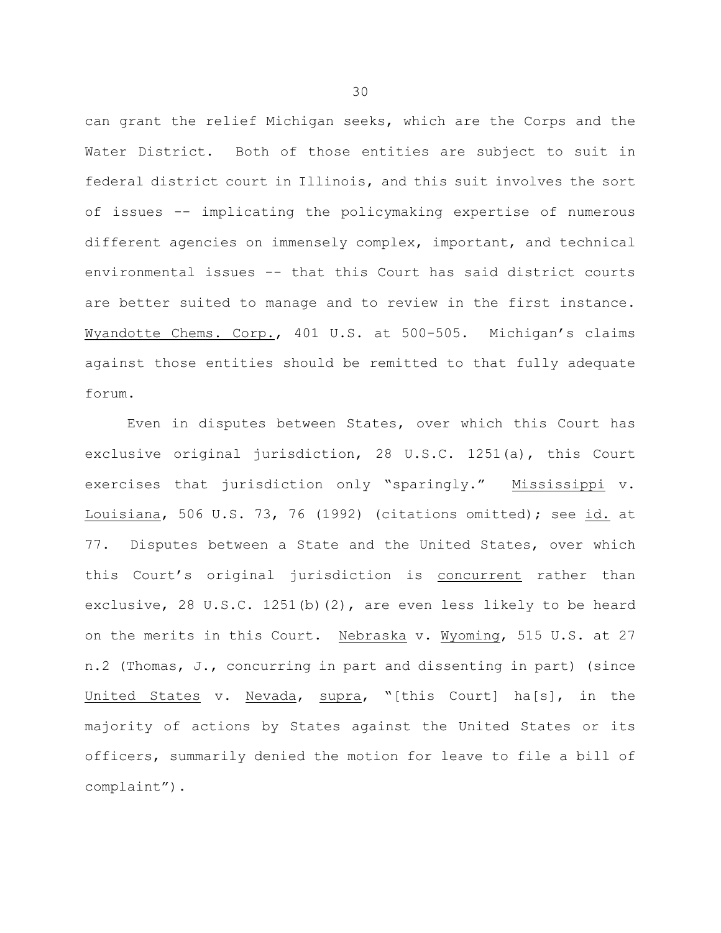can grant the relief Michigan seeks, which are the Corps and the Water District. Both of those entities are subject to suit in federal district court in Illinois, and this suit involves the sort of issues -- implicating the policymaking expertise of numerous different agencies on immensely complex, important, and technical environmental issues -- that this Court has said district courts are better suited to manage and to review in the first instance. Wyandotte Chems. Corp., 401 U.S. at 500-505. Michigan's claims against those entities should be remitted to that fully adequate forum.

Even in disputes between States, over which this Court has exclusive original jurisdiction, 28 U.S.C. 1251(a), this Court exercises that jurisdiction only "sparingly." Mississippi v. Louisiana, 506 U.S. 73, 76 (1992) (citations omitted); see id. at 77. Disputes between a State and the United States, over which this Court's original jurisdiction is concurrent rather than exclusive, 28 U.S.C. 1251(b)(2), are even less likely to be heard on the merits in this Court. Nebraska v. Wyoming, 515 U.S. at 27 n.2 (Thomas, J., concurring in part and dissenting in part) (since United States v. Nevada, supra, "[this Court] ha[s], in the majority of actions by States against the United States or its officers, summarily denied the motion for leave to file a bill of complaint").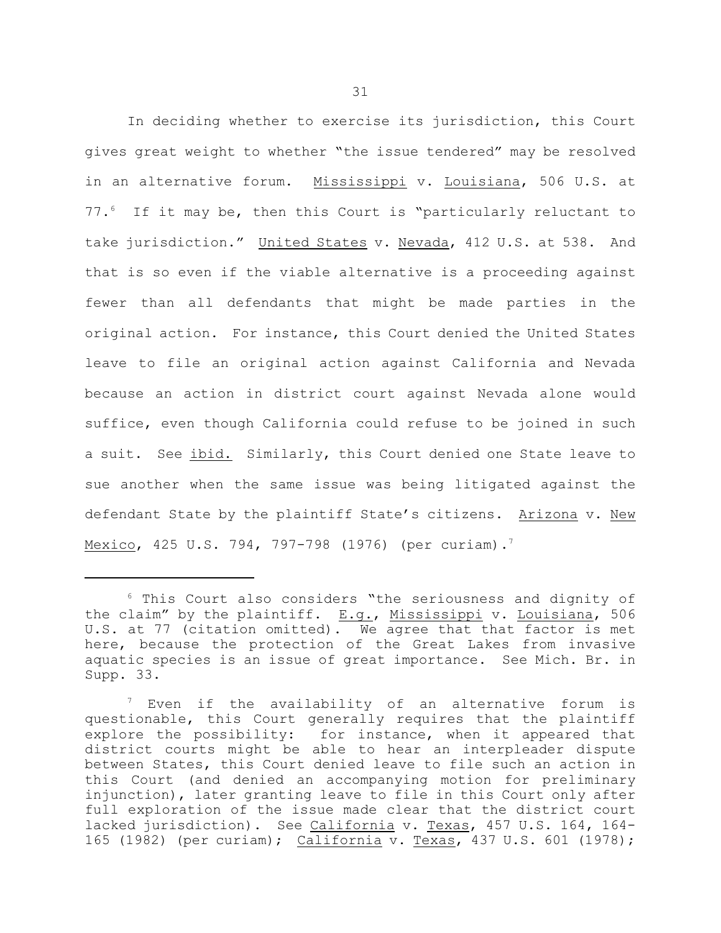In deciding whether to exercise its jurisdiction, this Court gives great weight to whether "the issue tendered" may be resolved in an alternative forum. Mississippi v. Louisiana, 506 U.S. at 77.<sup>6</sup> If it may be, then this Court is "particularly reluctant to take jurisdiction." United States v. Nevada, 412 U.S. at 538. And that is so even if the viable alternative is a proceeding against fewer than all defendants that might be made parties in the original action. For instance, this Court denied the United States leave to file an original action against California and Nevada because an action in district court against Nevada alone would suffice, even though California could refuse to be joined in such a suit. See ibid. Similarly, this Court denied one State leave to sue another when the same issue was being litigated against the defendant State by the plaintiff State's citizens. Arizona v. New <u>Mexico</u>, 425 U.S. 794, 797-798 (1976) (per curiam).<sup>7</sup>

<sup>6</sup> This Court also considers "the seriousness and dignity of the claim" by the plaintiff. E.g., Mississippi v. Louisiana, 506 U.S. at 77 (citation omitted). We agree that that factor is met here, because the protection of the Great Lakes from invasive aquatic species is an issue of great importance. See Mich. Br. in Supp. 33.

 $7$  Even if the availability of an alternative forum is questionable, this Court generally requires that the plaintiff explore the possibility: for instance, when it appeared that district courts might be able to hear an interpleader dispute between States, this Court denied leave to file such an action in this Court (and denied an accompanying motion for preliminary injunction), later granting leave to file in this Court only after full exploration of the issue made clear that the district court lacked jurisdiction). See California v. Texas, 457 U.S. 164, 164-165 (1982) (per curiam); California v. Texas, 437 U.S. 601 (1978);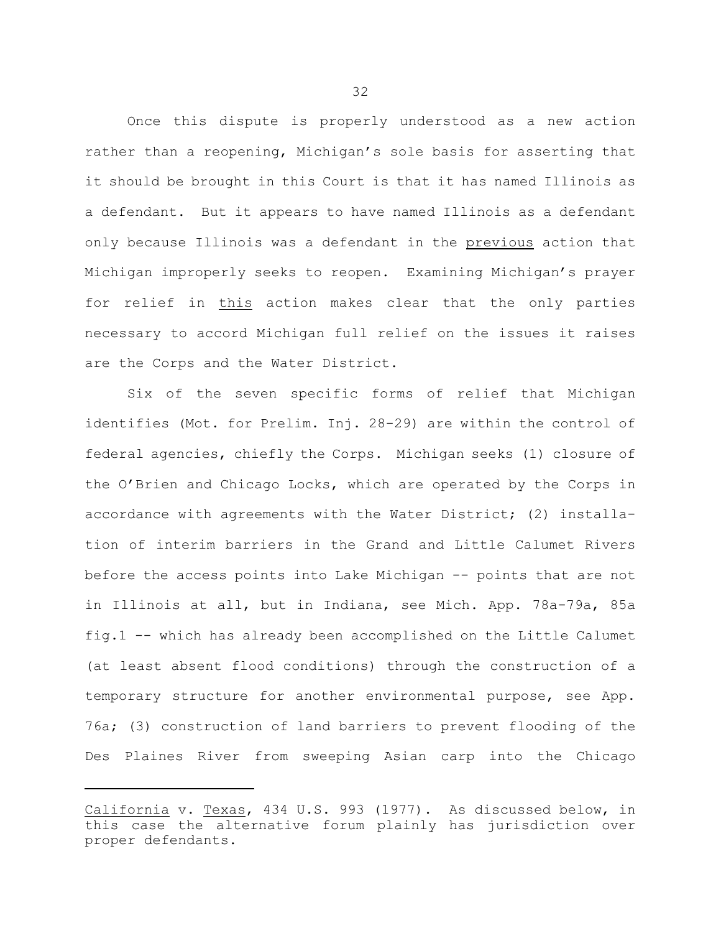Once this dispute is properly understood as a new action rather than a reopening, Michigan's sole basis for asserting that it should be brought in this Court is that it has named Illinois as a defendant. But it appears to have named Illinois as a defendant only because Illinois was a defendant in the previous action that Michigan improperly seeks to reopen. Examining Michigan's prayer for relief in this action makes clear that the only parties necessary to accord Michigan full relief on the issues it raises are the Corps and the Water District.

Six of the seven specific forms of relief that Michigan identifies (Mot. for Prelim. Inj. 28-29) are within the control of federal agencies, chiefly the Corps. Michigan seeks (1) closure of the O'Brien and Chicago Locks, which are operated by the Corps in accordance with agreements with the Water District; (2) installa tion of interim barriers in the Grand and Little Calumet Rivers before the access points into Lake Michigan -- points that are not in Illinois at all, but in Indiana, see Mich. App. 78a-79a, 85a fig.1 -- which has already been accomplished on the Little Calumet (at least absent flood conditions) through the construction of a temporary structure for another environmental purpose, see App. 76a; (3) construction of land barriers to prevent flooding of the Des Plaines River from sweeping Asian carp into the Chicago

California v. Texas, 434 U.S. 993 (1977). As discussed below, in this case the alternative forum plainly has jurisdiction over proper defendants.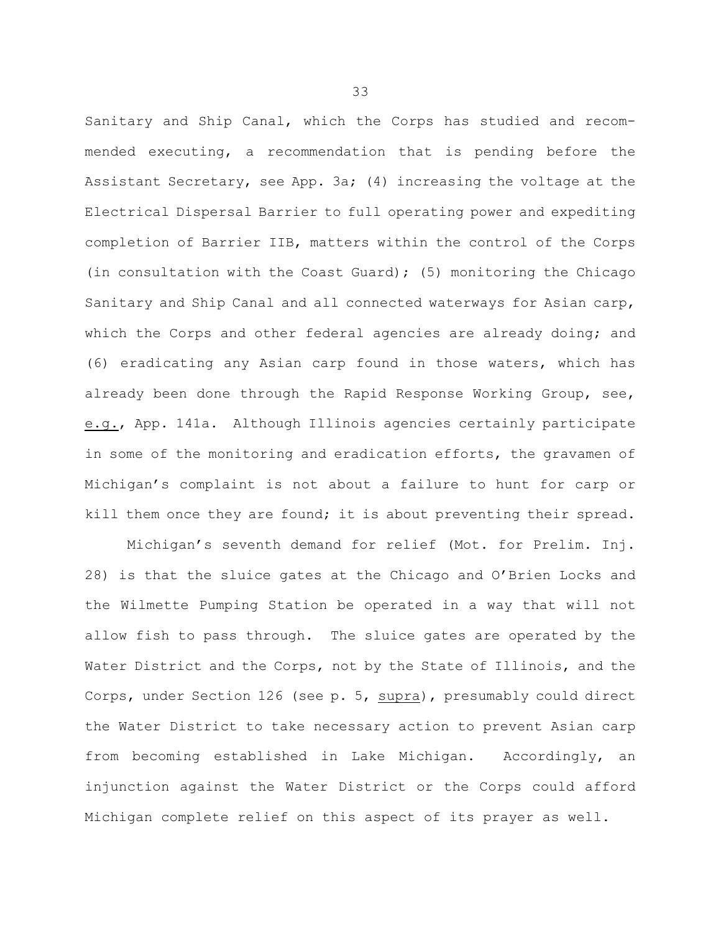Sanitary and Ship Canal, which the Corps has studied and recom mended executing, a recommendation that is pending before the Assistant Secretary, see App. 3a; (4) increasing the voltage at the Electrical Dispersal Barrier to full operating power and expediting completion of Barrier IIB, matters within the control of the Corps (in consultation with the Coast Guard); (5) monitoring the Chicago Sanitary and Ship Canal and all connected waterways for Asian carp, which the Corps and other federal agencies are already doing; and (6) eradicating any Asian carp found in those waters, which has already been done through the Rapid Response Working Group, see, e.g., App. 141a. Although Illinois agencies certainly participate in some of the monitoring and eradication efforts, the gravamen of Michigan's complaint is not about a failure to hunt for carp or kill them once they are found; it is about preventing their spread.

Michigan's seventh demand for relief (Mot. for Prelim. Inj. 28) is that the sluice gates at the Chicago and O'Brien Locks and the Wilmette Pumping Station be operated in a way that will not allow fish to pass through. The sluice gates are operated by the Water District and the Corps, not by the State of Illinois, and the Corps, under Section 126 (see p. 5, supra), presumably could direct the Water District to take necessary action to prevent Asian carp from becoming established in Lake Michigan. Accordingly, an injunction against the Water District or the Corps could afford Michigan complete relief on this aspect of its prayer as well.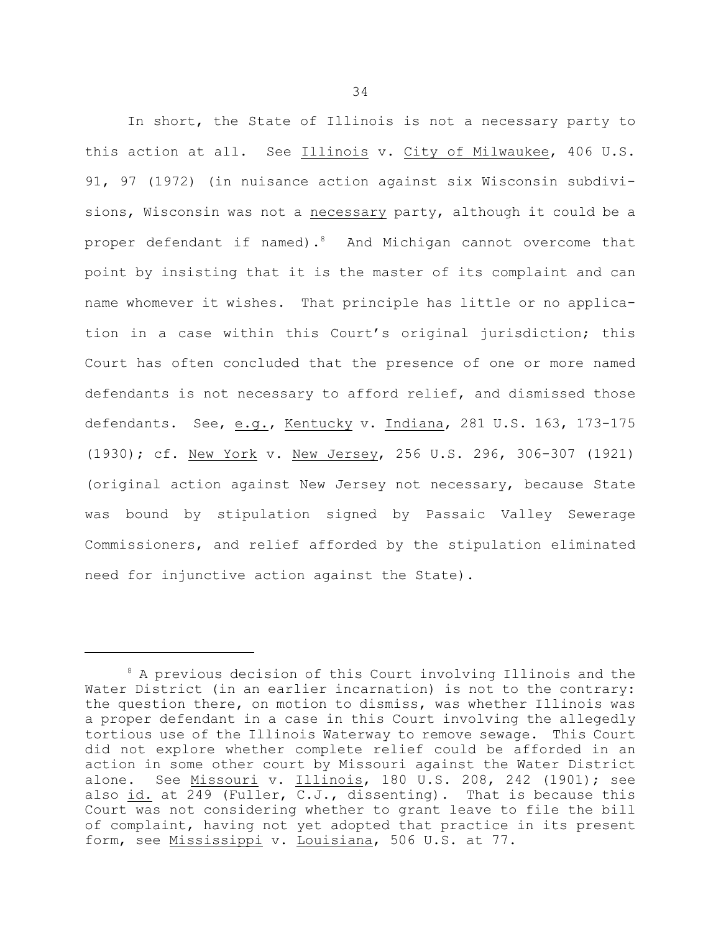In short, the State of Illinois is not a necessary party to this action at all. See Illinois v. City of Milwaukee, 406 U.S. 91, 97 (1972) (in nuisance action against six Wisconsin subdivi sions, Wisconsin was not a necessary party, although it could be a proper defendant if named). And Michigan cannot overcome that point by insisting that it is the master of its complaint and can name whomever it wishes. That principle has little or no applica tion in a case within this Court's original jurisdiction; this Court has often concluded that the presence of one or more named defendants is not necessary to afford relief, and dismissed those defendants. See, e.g., Kentucky v. Indiana, 281 U.S. 163, 173-175 (1930); cf. New York v. New Jersey, 256 U.S. 296, 306-307 (1921) (original action against New Jersey not necessary, because State was bound by stipulation signed by Passaic Valley Sewerage Commissioners, and relief afforded by the stipulation eliminated need for injunctive action against the State).

<sup>&</sup>lt;sup>8</sup> A previous decision of this Court involving Illinois and the Water District (in an earlier incarnation) is not to the contrary: the question there, on motion to dismiss, was whether Illinois was a proper defendant in a case in this Court involving the allegedly tortious use of the Illinois Waterway to remove sewage. This Court did not explore whether complete relief could be afforded in an action in some other court by Missouri against the Water District alone. See <u>Missouri</u> v. <u>Illinois</u>, 180 U.S. 208, 242 (1901); see also id. at 249 (Fuller, C.J., dissenting). That is because this Court was not considering whether to grant leave to file the bill of complaint, having not yet adopted that practice in its present form, see Mississippi v. Louisiana, 506 U.S. at 77.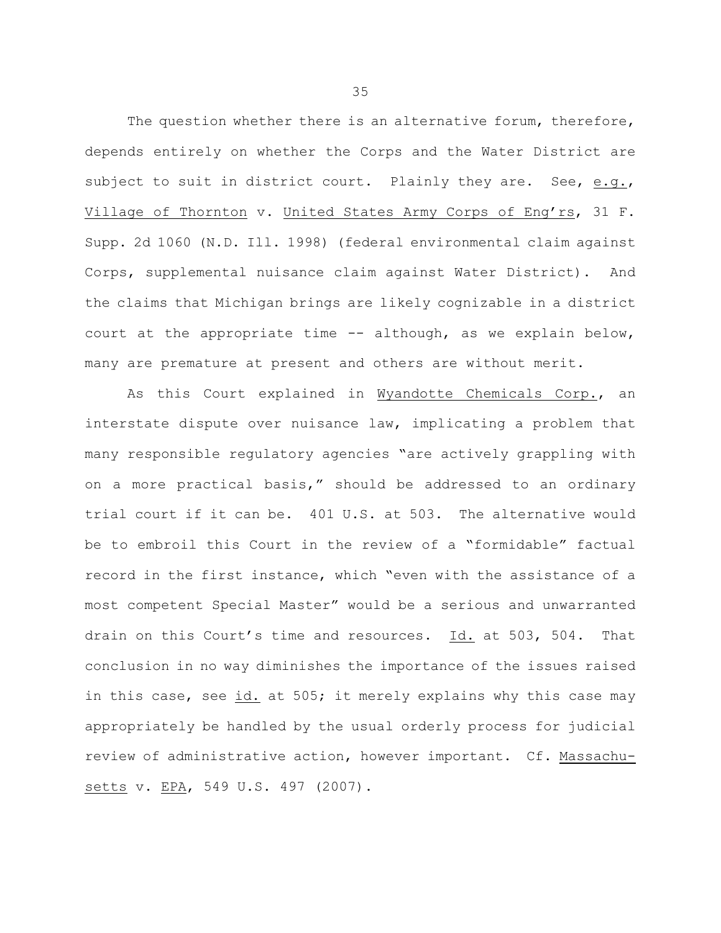The question whether there is an alternative forum, therefore, depends entirely on whether the Corps and the Water District are subject to suit in district court. Plainly they are. See, e.g., Village of Thornton v. United States Army Corps of Eng'rs, 31 F. Supp. 2d 1060 (N.D. Ill. 1998) (federal environmental claim against Corps, supplemental nuisance claim against Water District). And the claims that Michigan brings are likely cognizable in a district court at the appropriate time  $--$  although, as we explain below, many are premature at present and others are without merit.

As this Court explained in Wyandotte Chemicals Corp., an interstate dispute over nuisance law, implicating a problem that many responsible regulatory agencies "are actively grappling with on a more practical basis," should be addressed to an ordinary trial court if it can be. 401 U.S. at 503. The alternative would be to embroil this Court in the review of a "formidable" factual record in the first instance, which "even with the assistance of a most competent Special Master" would be a serious and unwarranted drain on this Court's time and resources. Id. at 503, 504. That conclusion in no way diminishes the importance of the issues raised in this case, see id. at 505; it merely explains why this case may appropriately be handled by the usual orderly process for judicial review of administrative action, however important. Cf. Massachusetts v. EPA, 549 U.S. 497 (2007).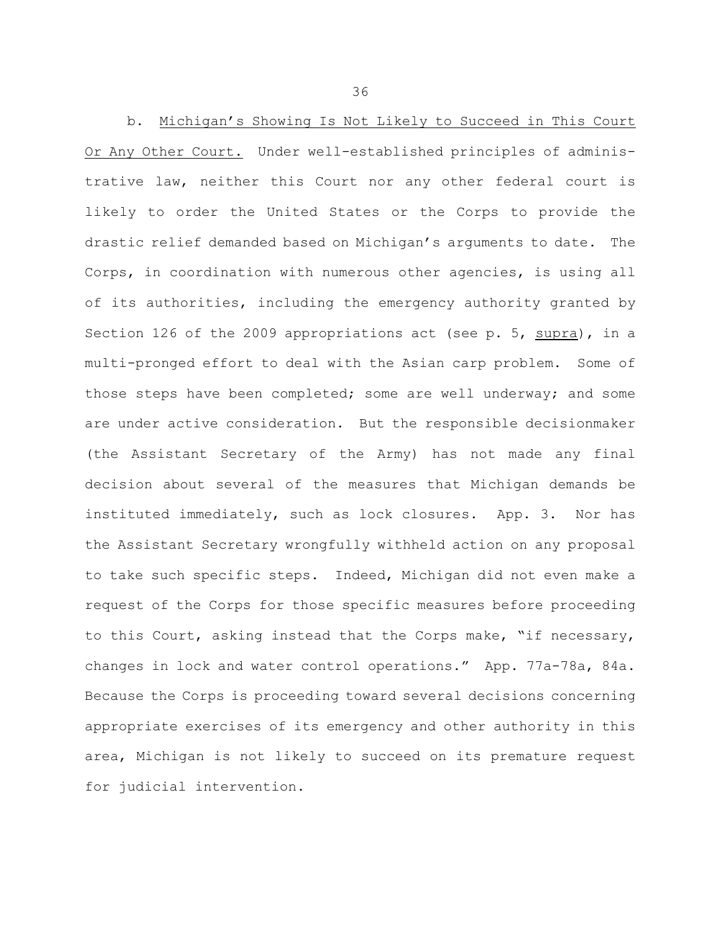b. Michigan's Showing Is Not Likely to Succeed in This Court Or Any Other Court. Under well-established principles of administrative law, neither this Court nor any other federal court is likely to order the United States or the Corps to provide the drastic relief demanded based on Michigan's arguments to date. The Corps, in coordination with numerous other agencies, is using all of its authorities, including the emergency authority granted by Section 126 of the 2009 appropriations act (see p. 5, supra), in a multi-pronged effort to deal with the Asian carp problem. Some of those steps have been completed; some are well underway; and some are under active consideration. But the responsible decisionmaker (the Assistant Secretary of the Army) has not made any final decision about several of the measures that Michigan demands be instituted immediately, such as lock closures. App. 3. Nor has the Assistant Secretary wrongfully withheld action on any proposal to take such specific steps. Indeed, Michigan did not even make a request of the Corps for those specific measures before proceeding to this Court, asking instead that the Corps make, "if necessary, changes in lock and water control operations." App. 77a-78a, 84a. Because the Corps is proceeding toward several decisions concerning appropriate exercises of its emergency and other authority in this area, Michigan is not likely to succeed on its premature request for judicial intervention.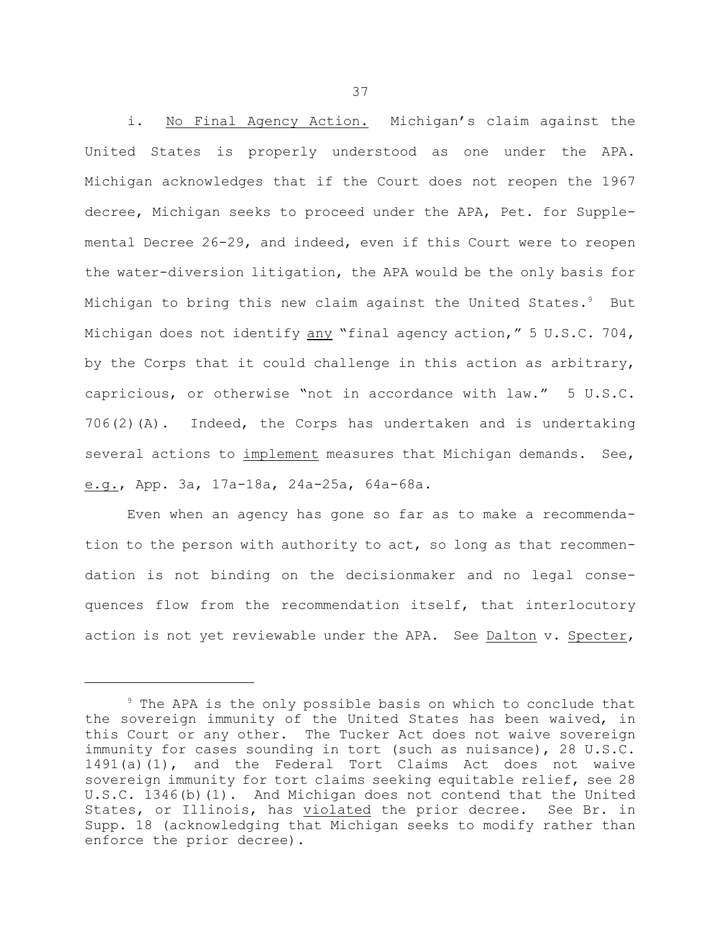i. No Final Agency Action. Michigan's claim against the United States is properly understood as one under the APA. Michigan acknowledges that if the Court does not reopen the 1967 decree, Michigan seeks to proceed under the APA, Pet. for Supple mental Decree 26-29, and indeed, even if this Court were to reopen the water-diversion litigation, the APA would be the only basis for Michigan to bring this new claim against the United States.<sup>9</sup> But Michigan does not identify any "final agency action," 5 U.S.C. 704, by the Corps that it could challenge in this action as arbitrary, capricious, or otherwise "not in accordance with law." 5 U.S.C. 706(2)(A). Indeed, the Corps has undertaken and is undertaking several actions to implement measures that Michigan demands. See, e.g., App. 3a, 17a-18a, 24a-25a, 64a-68a.

Even when an agency has gone so far as to make a recommenda tion to the person with authority to act, so long as that recommendation is not binding on the decisionmaker and no legal conse quences flow from the recommendation itself, that interlocutory action is not yet reviewable under the APA. See Dalton v. Specter,

<sup>&</sup>lt;sup>9</sup> The APA is the only possible basis on which to conclude that the sovereign immunity of the United States has been waived, in this Court or any other. The Tucker Act does not waive sovereign immunity for cases sounding in tort (such as nuisance), 28 U.S.C. 1491(a)(1), and the Federal Tort Claims Act does not waive sovereign immunity for tort claims seeking equitable relief, see 28 U.S.C. 1346(b)(1). And Michigan does not contend that the United States, or Illinois, has violated the prior decree. See Br. in Supp. 18 (acknowledging that Michigan seeks to modify rather than enforce the prior decree).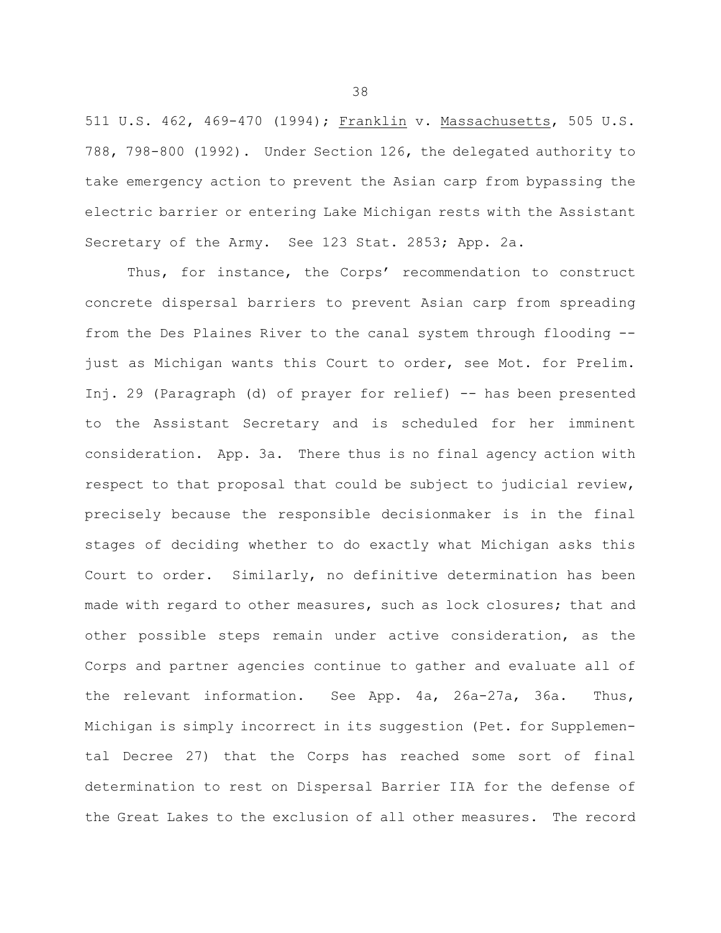511 U.S. 462, 469-470 (1994); Franklin v. Massachusetts, 505 U.S. 788, 798-800 (1992). Under Section 126, the delegated authority to take emergency action to prevent the Asian carp from bypassing the electric barrier or entering Lake Michigan rests with the Assistant Secretary of the Army. See 123 Stat. 2853; App. 2a.

Thus, for instance, the Corps' recommendation to construct concrete dispersal barriers to prevent Asian carp from spreading from the Des Plaines River to the canal system through flooding just as Michigan wants this Court to order, see Mot. for Prelim. Inj. 29 (Paragraph (d) of prayer for relief) -- has been presented to the Assistant Secretary and is scheduled for her imminent consideration. App. 3a. There thus is no final agency action with respect to that proposal that could be subject to judicial review, precisely because the responsible decisionmaker is in the final stages of deciding whether to do exactly what Michigan asks this Court to order. Similarly, no definitive determination has been made with regard to other measures, such as lock closures; that and other possible steps remain under active consideration, as the Corps and partner agencies continue to gather and evaluate all of the relevant information. See App. 4a, 26a-27a, 36a. Thus, Michigan is simply incorrect in its suggestion (Pet. for Supplemen tal Decree 27) that the Corps has reached some sort of final determination to rest on Dispersal Barrier IIA for the defense of the Great Lakes to the exclusion of all other measures. The record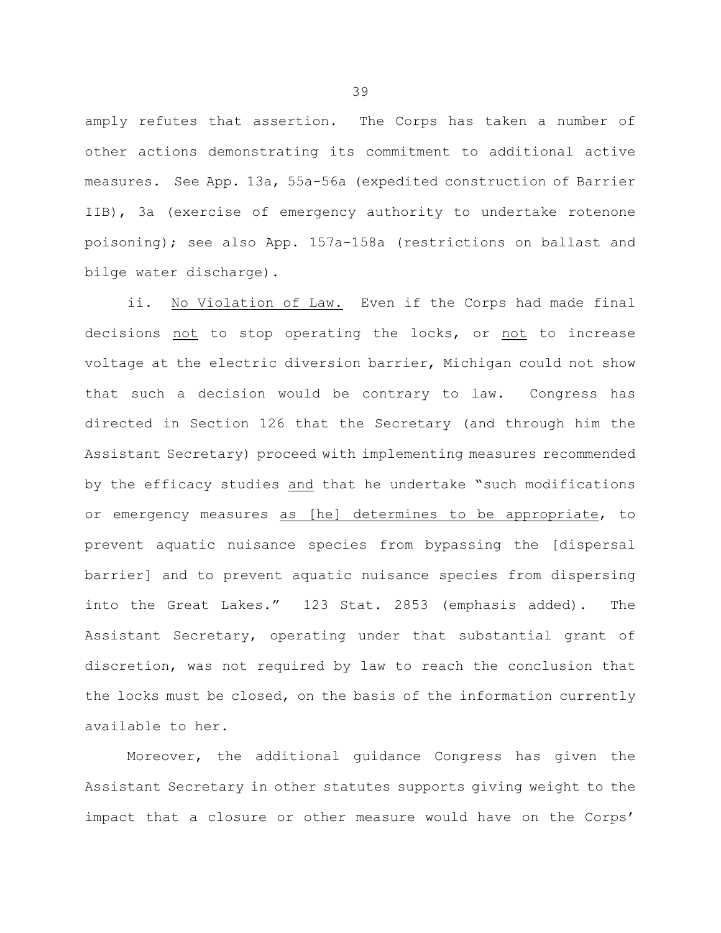amply refutes that assertion. The Corps has taken a number of other actions demonstrating its commitment to additional active measures. See App. 13a, 55a-56a (expedited construction of Barrier IIB), 3a (exercise of emergency authority to undertake rotenone poisoning); see also App. 157a-158a (restrictions on ballast and bilge water discharge).

ii. No Violation of Law. Even if the Corps had made final decisions not to stop operating the locks, or not to increase voltage at the electric diversion barrier, Michigan could not show that such a decision would be contrary to law. Congress has directed in Section 126 that the Secretary (and through him the Assistant Secretary) proceed with implementing measures recommended by the efficacy studies and that he undertake "such modifications or emergency measures as [he] determines to be appropriate, to prevent aquatic nuisance species from bypassing the [dispersal barrier] and to prevent aquatic nuisance species from dispersing into the Great Lakes." 123 Stat. 2853 (emphasis added). The Assistant Secretary, operating under that substantial grant of discretion, was not required by law to reach the conclusion that the locks must be closed, on the basis of the information currently available to her.

Moreover, the additional guidance Congress has given the Assistant Secretary in other statutes supports giving weight to the impact that a closure or other measure would have on the Corps'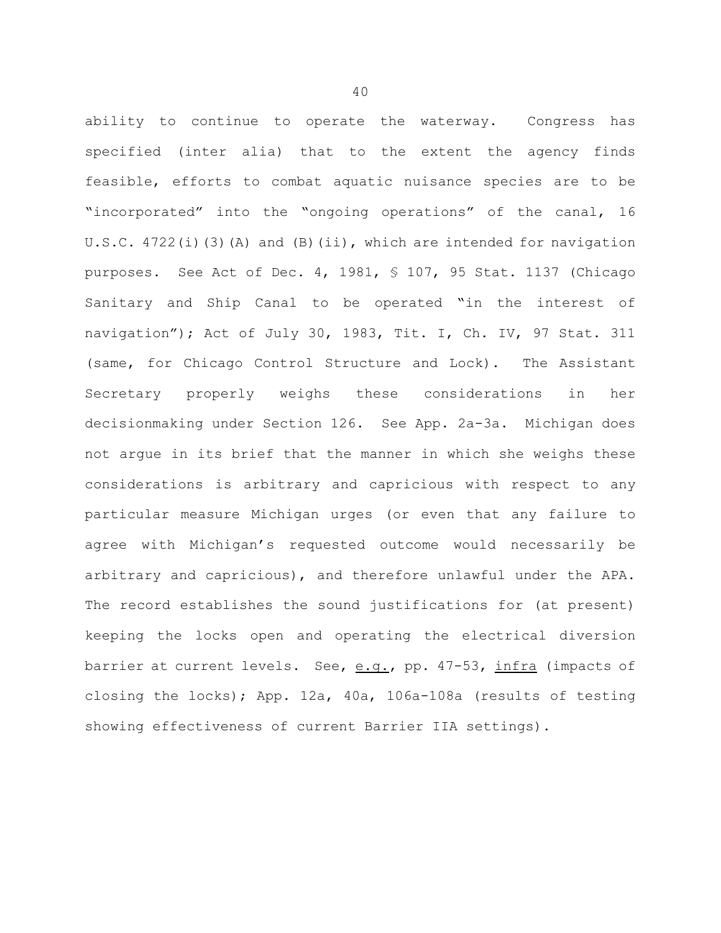ability to continue to operate the waterway. Congress has specified (inter alia) that to the extent the agency finds feasible, efforts to combat aquatic nuisance species are to be "incorporated" into the "ongoing operations" of the canal, 16 U.S.C. 4722(i)(3)(A) and (B)(ii), which are intended for navigation purposes. See Act of Dec. 4, 1981, § 107, 95 Stat. 1137 (Chicago Sanitary and Ship Canal to be operated "in the interest of navigation"); Act of July 30, 1983, Tit. I, Ch. IV, 97 Stat. 311 (same, for Chicago Control Structure and Lock). The Assistant Secretary properly weighs these considerations in her decisionmaking under Section 126. See App. 2a-3a. Michigan does not argue in its brief that the manner in which she weighs these considerations is arbitrary and capricious with respect to any particular measure Michigan urges (or even that any failure to agree with Michigan's requested outcome would necessarily be arbitrary and capricious), and therefore unlawful under the APA. The record establishes the sound justifications for (at present) keeping the locks open and operating the electrical diversion barrier at current levels. See, <u>e.g.</u>, pp. 47-53, <u>infra</u> (impacts of closing the locks); App. 12a, 40a, 106a-108a (results of testing showing effectiveness of current Barrier IIA settings).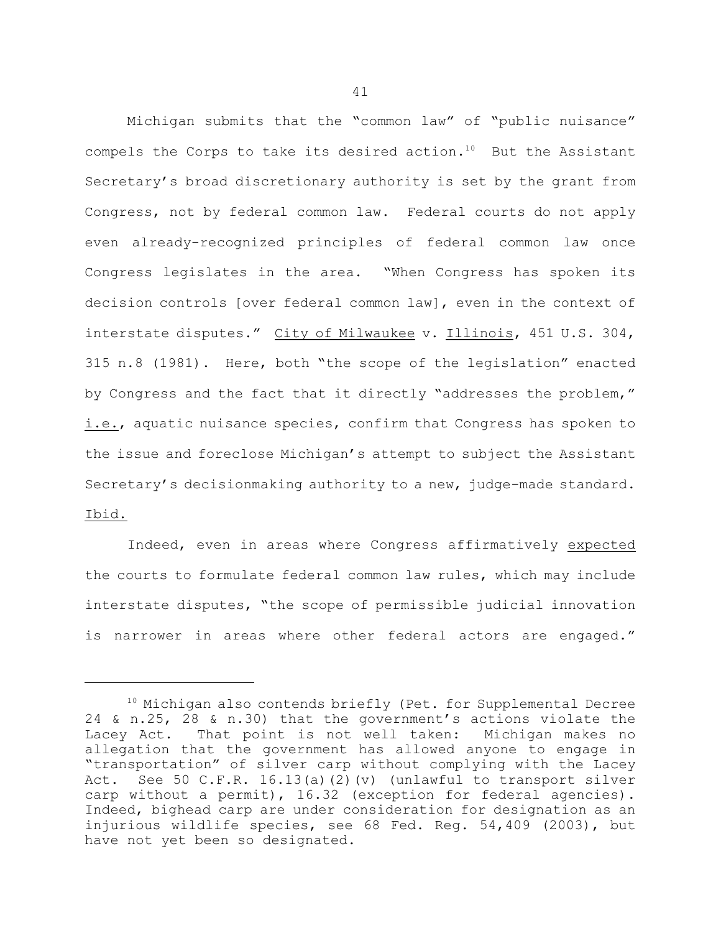Michigan submits that the "common law" of "public nuisance" compels the Corps to take its desired action.<sup>10</sup> But the Assistant Secretary's broad discretionary authority is set by the grant from Congress, not by federal common law. Federal courts do not apply even already-recognized principles of federal common law once Congress legislates in the area. "When Congress has spoken its decision controls [over federal common law], even in the context of interstate disputes." City of Milwaukee v. Illinois, 451 U.S. 304, 315 n.8 (1981). Here, both "the scope of the legislation" enacted by Congress and the fact that it directly "addresses the problem," i.e., aquatic nuisance species, confirm that Congress has spoken to the issue and foreclose Michigan's attempt to subject the Assistant Secretary's decisionmaking authority to a new, judge-made standard. Ibid.

Indeed, even in areas where Congress affirmatively expected the courts to formulate federal common law rules, which may include interstate disputes, "the scope of permissible judicial innovation is narrower in areas where other federal actors are engaged."

<sup>&</sup>lt;sup>10</sup> Michigan also contends briefly (Pet. for Supplemental Decree 24 & n.25, 28 & n.30) that the government's actions violate the Lacey Act. That point is not well taken: Michigan makes no allegation that the government has allowed anyone to engage in "transportation" of silver carp without complying with the Lacey Act. See 50 C.F.R. 16.13(a)(2)(v) (unlawful to transport silver carp without a permit), 16.32 (exception for federal agencies). Indeed, bighead carp are under consideration for designation as an injurious wildlife species, see 68 Fed. Reg. 54,409 (2003), but have not yet been so designated.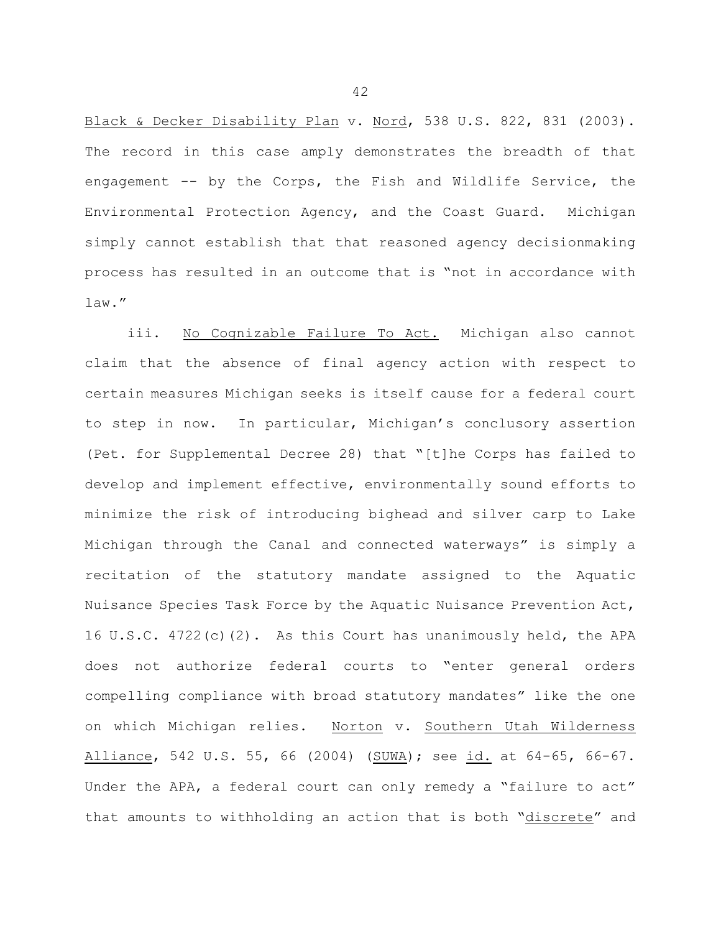Black & Decker Disability Plan v. Nord, 538 U.S. 822, 831 (2003). The record in this case amply demonstrates the breadth of that engagement -- by the Corps, the Fish and Wildlife Service, the Environmental Protection Agency, and the Coast Guard. Michigan simply cannot establish that that reasoned agency decisionmaking process has resulted in an outcome that is "not in accordance with  $law''$ 

iii. No Cognizable Failure To Act. Michigan also cannot claim that the absence of final agency action with respect to certain measures Michigan seeks is itself cause for a federal court to step in now. In particular, Michigan's conclusory assertion (Pet. for Supplemental Decree 28) that "[t]he Corps has failed to develop and implement effective, environmentally sound efforts to minimize the risk of introducing bighead and silver carp to Lake Michigan through the Canal and connected waterways" is simply a recitation of the statutory mandate assigned to the Aquatic Nuisance Species Task Force by the Aquatic Nuisance Prevention Act, 16 U.S.C. 4722(c)(2). As this Court has unanimously held, the APA does not authorize federal courts to "enter general orders compelling compliance with broad statutory mandates" like the one on which Michigan relies. Norton v. Southern Utah Wilderness Alliance, 542 U.S. 55, 66 (2004) (SUWA); see id. at 64-65, 66-67. Under the APA, a federal court can only remedy a "failure to act" that amounts to withholding an action that is both "discrete" and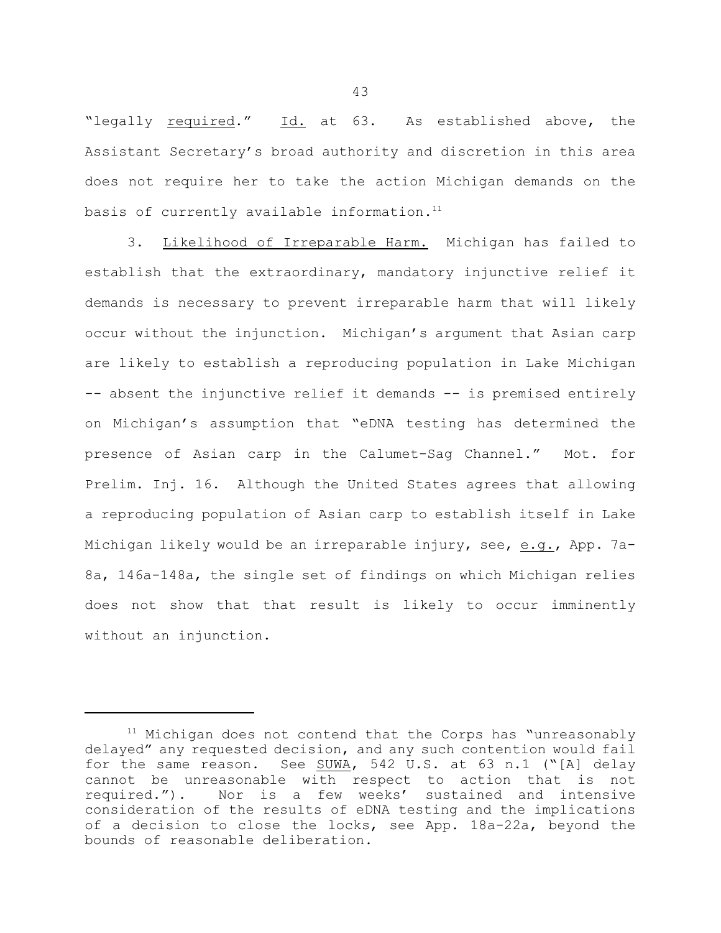"legally *required."* Id. at 63. As established above, the Assistant Secretary's broad authority and discretion in this area does not require her to take the action Michigan demands on the basis of currently available information. $^{11}$ 

3. Likelihood of Irreparable Harm. Michigan has failed to establish that the extraordinary, mandatory injunctive relief it demands is necessary to prevent irreparable harm that will likely occur without the injunction. Michigan's argument that Asian carp are likely to establish a reproducing population in Lake Michigan -- absent the injunctive relief it demands -- is premised entirely on Michigan's assumption that "eDNA testing has determined the presence of Asian carp in the Calumet-Sag Channel." Mot. for Prelim. Inj. 16. Although the United States agrees that allowing a reproducing population of Asian carp to establish itself in Lake Michigan likely would be an irreparable injury, see, <u>e.g.</u>, App. 7a-8a, 146a-148a, the single set of findings on which Michigan relies does not show that that result is likely to occur imminently without an injunction.

 $11$  Michigan does not contend that the Corps has "unreasonably delayed" any requested decision, and any such contention would fail for the same reason. See SUWA, 542 U.S. at 63 n.1 ("[A] delay cannot be unreasonable with respect to action that is not required."). Nor is a few weeks' sustained and intensive consideration of the results of eDNA testing and the implications of a decision to close the locks, see App. 18a-22a, beyond the bounds of reasonable deliberation.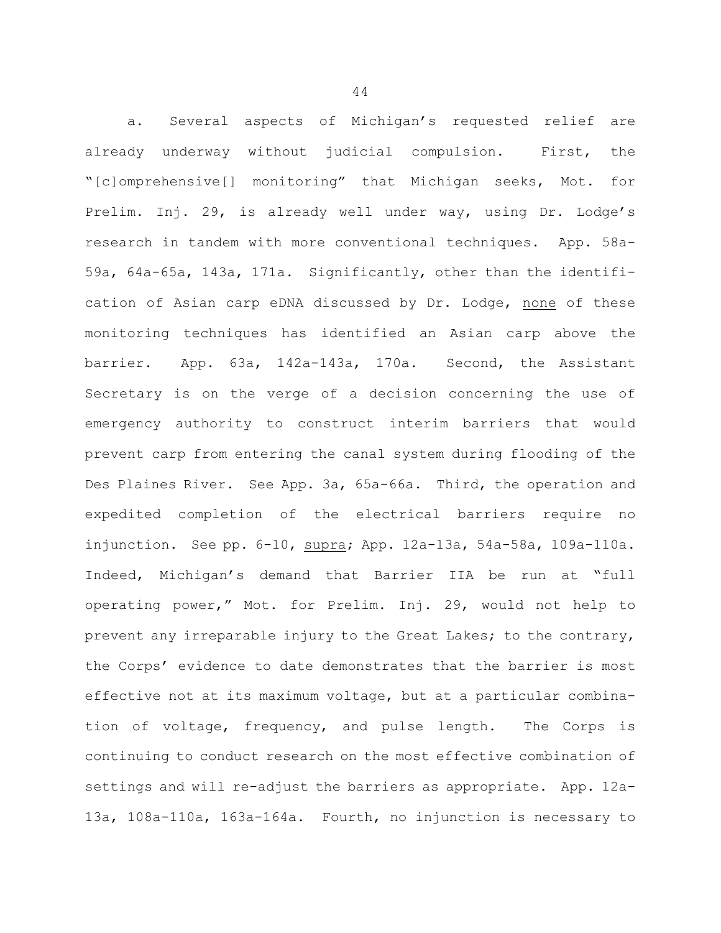a. Several aspects of Michigan's requested relief are already underway without judicial compulsion. First, the "[c]omprehensive[] monitoring" that Michigan seeks, Mot. for Prelim. Inj. 29, is already well under way, using Dr. Lodge's research in tandem with more conventional techniques. App. 58a 59a, 64a-65a, 143a, 171a. Significantly, other than the identifi cation of Asian carp eDNA discussed by Dr. Lodge, none of these monitoring techniques has identified an Asian carp above the barrier. App. 63a, 142a-143a, 170a. Second, the Assistant Secretary is on the verge of a decision concerning the use of emergency authority to construct interim barriers that would prevent carp from entering the canal system during flooding of the Des Plaines River. See App. 3a, 65a-66a. Third, the operation and expedited completion of the electrical barriers require no injunction. See pp. 6-10, supra; App. 12a-13a, 54a-58a, 109a-110a. Indeed, Michigan's demand that Barrier IIA be run at "full operating power," Mot. for Prelim. Inj. 29, would not help to prevent any irreparable injury to the Great Lakes; to the contrary, the Corps' evidence to date demonstrates that the barrier is most effective not at its maximum voltage, but at a particular combina tion of voltage, frequency, and pulse length. The Corps is continuing to conduct research on the most effective combination of settings and will re-adjust the barriers as appropriate. App. 12a-13a, 108a-110a, 163a-164a. Fourth, no injunction is necessary to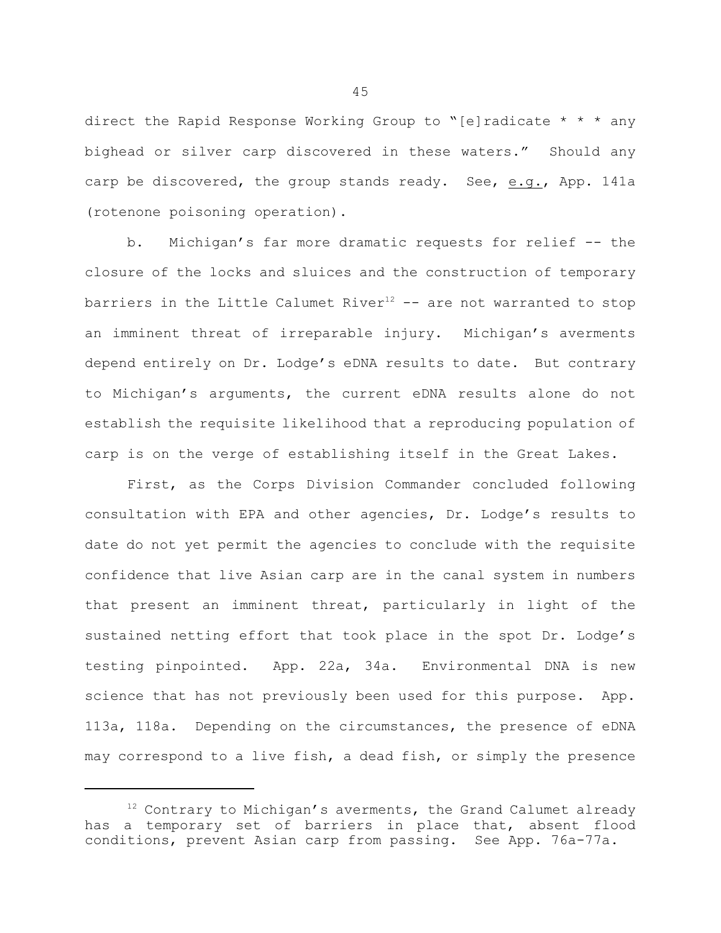direct the Rapid Response Working Group to "[e]radicate \* \* \* any bighead or silver carp discovered in these waters." Should any carp be discovered, the group stands ready. See, e.g., App. 141a (rotenone poisoning operation).

b. Michigan's far more dramatic requests for relief -- the closure of the locks and sluices and the construction of temporary barriers in the Little Calumet River $^{12}$  -- are not warranted to stop an imminent threat of irreparable injury. Michigan's averments depend entirely on Dr. Lodge's eDNA results to date. But contrary to Michigan's arguments, the current eDNA results alone do not establish the requisite likelihood that a reproducing population of carp is on the verge of establishing itself in the Great Lakes.

First, as the Corps Division Commander concluded following consultation with EPA and other agencies, Dr. Lodge's results to date do not yet permit the agencies to conclude with the requisite confidence that live Asian carp are in the canal system in numbers that present an imminent threat, particularly in light of the sustained netting effort that took place in the spot Dr. Lodge's testing pinpointed. App. 22a, 34a. Environmental DNA is new science that has not previously been used for this purpose. App. 113a, 118a. Depending on the circumstances, the presence of eDNA may correspond to a live fish, a dead fish, or simply the presence

 $12$  Contrary to Michigan's averments, the Grand Calumet already has a temporary set of barriers in place that, absent flood conditions, prevent Asian carp from passing. See App. 76a-77a.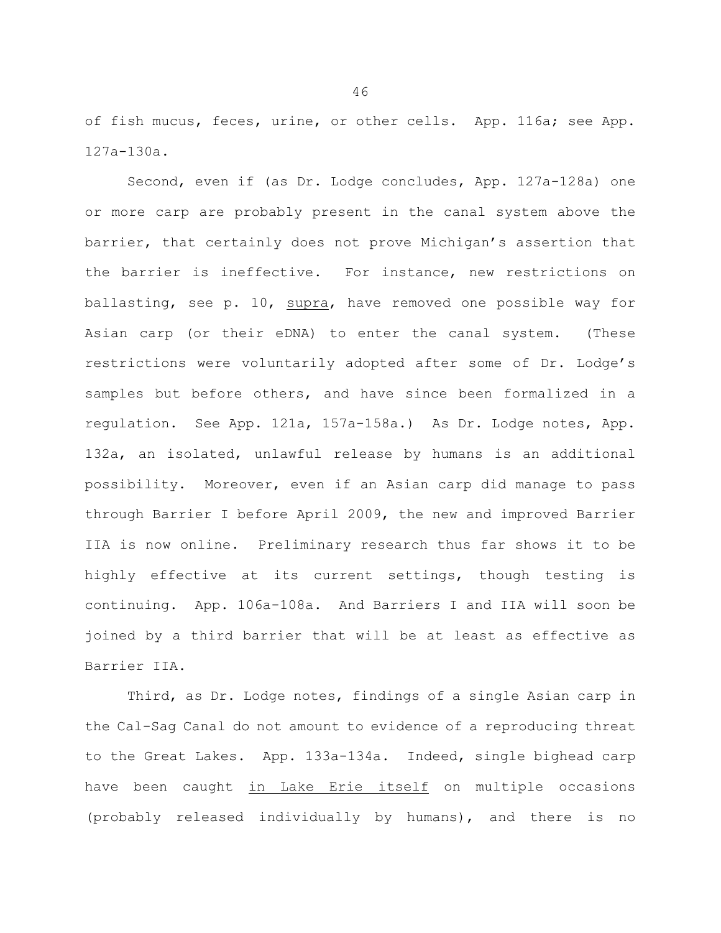of fish mucus, feces, urine, or other cells. App. 116a; see App. 127a-130a.

Second, even if (as Dr. Lodge concludes, App. 127a-128a) one or more carp are probably present in the canal system above the barrier, that certainly does not prove Michigan's assertion that the barrier is ineffective. For instance, new restrictions on ballasting, see p. 10, supra, have removed one possible way for Asian carp (or their eDNA) to enter the canal system. (These restrictions were voluntarily adopted after some of Dr. Lodge's samples but before others, and have since been formalized in a regulation. See App. 121a, 157a-158a.) As Dr. Lodge notes, App. 132a, an isolated, unlawful release by humans is an additional possibility. Moreover, even if an Asian carp did manage to pass through Barrier I before April 2009, the new and improved Barrier IIA is now online. Preliminary research thus far shows it to be highly effective at its current settings, though testing is continuing. App. 106a-108a. And Barriers I and IIA will soon be joined by a third barrier that will be at least as effective as Barrier IIA.

Third, as Dr. Lodge notes, findings of a single Asian carp in the Cal-Sag Canal do not amount to evidence of a reproducing threat to the Great Lakes. App. 133a-134a. Indeed, single bighead carp have been caught <u>in Lake Erie itself</u> on multiple occasions (probably released individually by humans), and there is no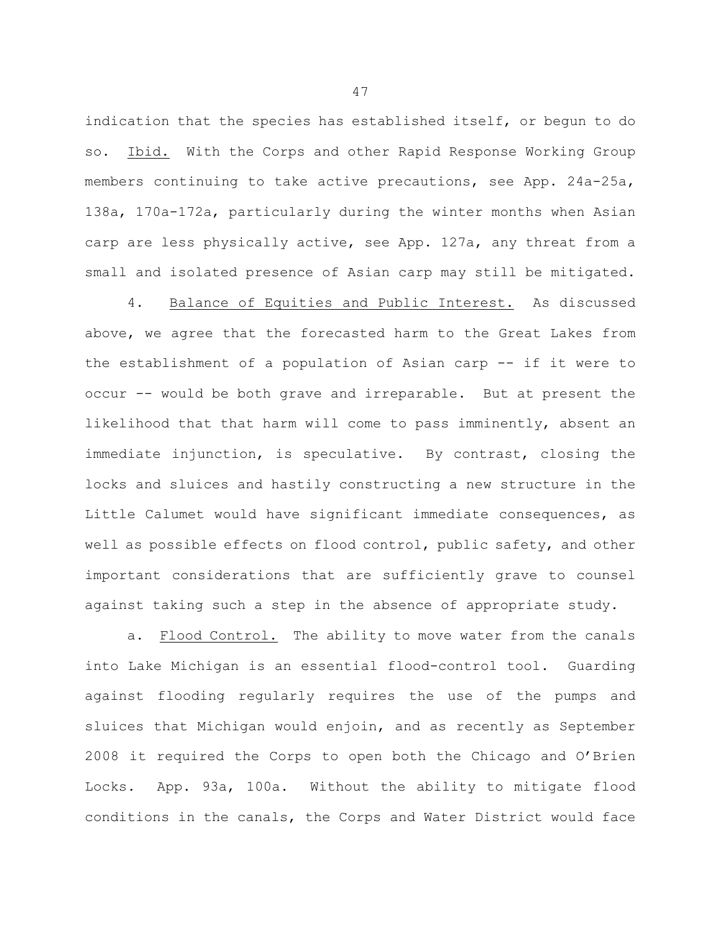indication that the species has established itself, or begun to do so. Ibid. With the Corps and other Rapid Response Working Group members continuing to take active precautions, see App. 24a-25a, 138a, 170a-172a, particularly during the winter months when Asian carp are less physically active, see App. 127a, any threat from a small and isolated presence of Asian carp may still be mitigated.

4. Balance of Equities and Public Interest. As discussed above, we agree that the forecasted harm to the Great Lakes from the establishment of a population of Asian carp -- if it were to occur -- would be both grave and irreparable. But at present the likelihood that that harm will come to pass imminently, absent an immediate injunction, is speculative. By contrast, closing the locks and sluices and hastily constructing a new structure in the Little Calumet would have significant immediate consequences, as well as possible effects on flood control, public safety, and other important considerations that are sufficiently grave to counsel against taking such a step in the absence of appropriate study.

a. Flood Control. The ability to move water from the canals into Lake Michigan is an essential flood-control tool. Guarding against flooding regularly requires the use of the pumps and sluices that Michigan would enjoin, and as recently as September 2008 it required the Corps to open both the Chicago and O'Brien Locks. App. 93a, 100a. Without the ability to mitigate flood conditions in the canals, the Corps and Water District would face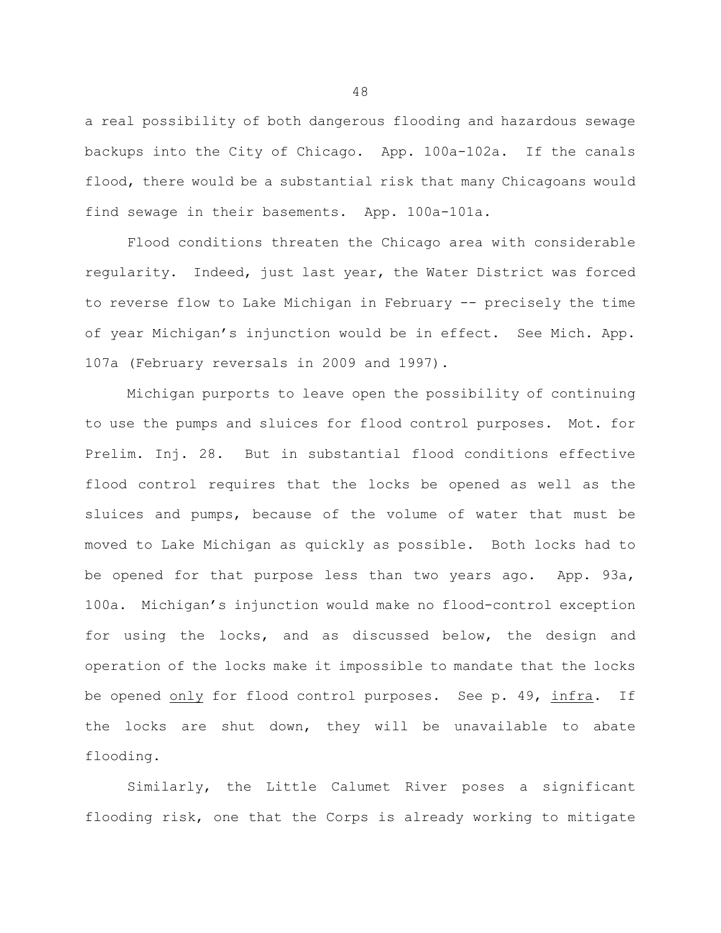a real possibility of both dangerous flooding and hazardous sewage backups into the City of Chicago. App. 100a-102a. If the canals flood, there would be a substantial risk that many Chicagoans would find sewage in their basements. App. 100a-101a.

Flood conditions threaten the Chicago area with considerable regularity. Indeed, just last year, the Water District was forced to reverse flow to Lake Michigan in February -- precisely the time of year Michigan's injunction would be in effect. See Mich. App. 107a (February reversals in 2009 and 1997).

Michigan purports to leave open the possibility of continuing to use the pumps and sluices for flood control purposes. Mot. for Prelim. Inj. 28. But in substantial flood conditions effective flood control requires that the locks be opened as well as the sluices and pumps, because of the volume of water that must be moved to Lake Michigan as quickly as possible. Both locks had to be opened for that purpose less than two years ago. App. 93a, 100a. Michigan's injunction would make no flood-control exception for using the locks, and as discussed below, the design and operation of the locks make it impossible to mandate that the locks be opened only for flood control purposes. See p. 49, infra. If the locks are shut down, they will be unavailable to abate flooding.

Similarly, the Little Calumet River poses a significant flooding risk, one that the Corps is already working to mitigate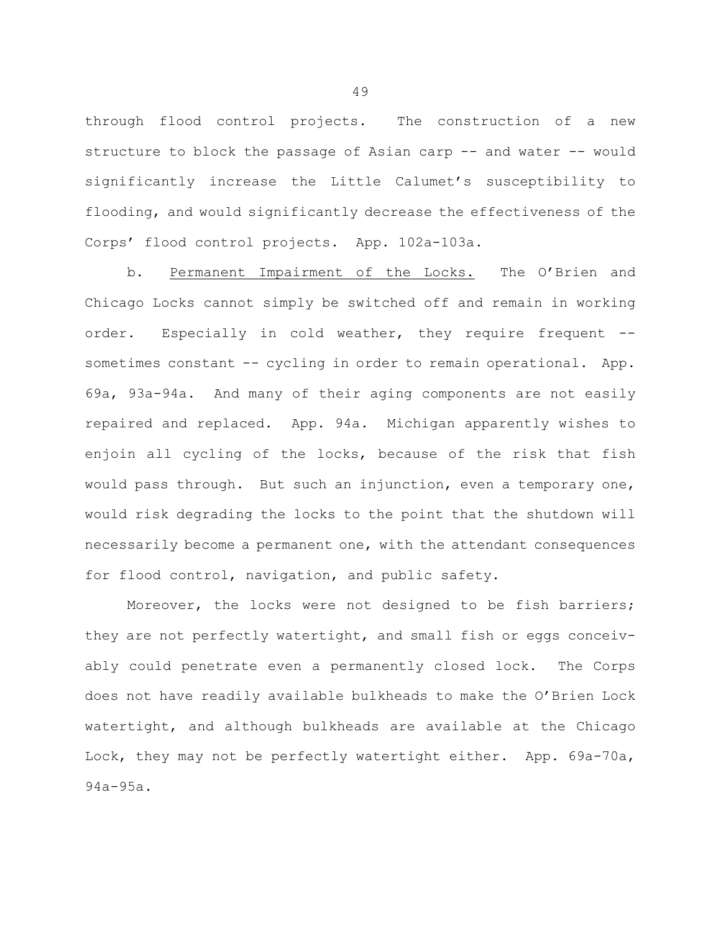through flood control projects. The construction of a new structure to block the passage of Asian carp -- and water -- would significantly increase the Little Calumet's susceptibility to flooding, and would significantly decrease the effectiveness of the Corps' flood control projects. App. 102a-103a.

b. Permanent Impairment of the Locks. The O'Brien and Chicago Locks cannot simply be switched off and remain in working order. Especially in cold weather, they require frequent -sometimes constant -- cycling in order to remain operational. App. 69a, 93a-94a. And many of their aging components are not easily repaired and replaced. App. 94a. Michigan apparently wishes to enjoin all cycling of the locks, because of the risk that fish would pass through. But such an injunction, even a temporary one, would risk degrading the locks to the point that the shutdown will necessarily become a permanent one, with the attendant consequences for flood control, navigation, and public safety.

Moreover, the locks were not designed to be fish barriers; they are not perfectly watertight, and small fish or eggs conceivably could penetrate even a permanently closed lock. The Corps does not have readily available bulkheads to make the O'Brien Lock watertight, and although bulkheads are available at the Chicago Lock, they may not be perfectly watertight either. App. 69a-70a, 94a-95a.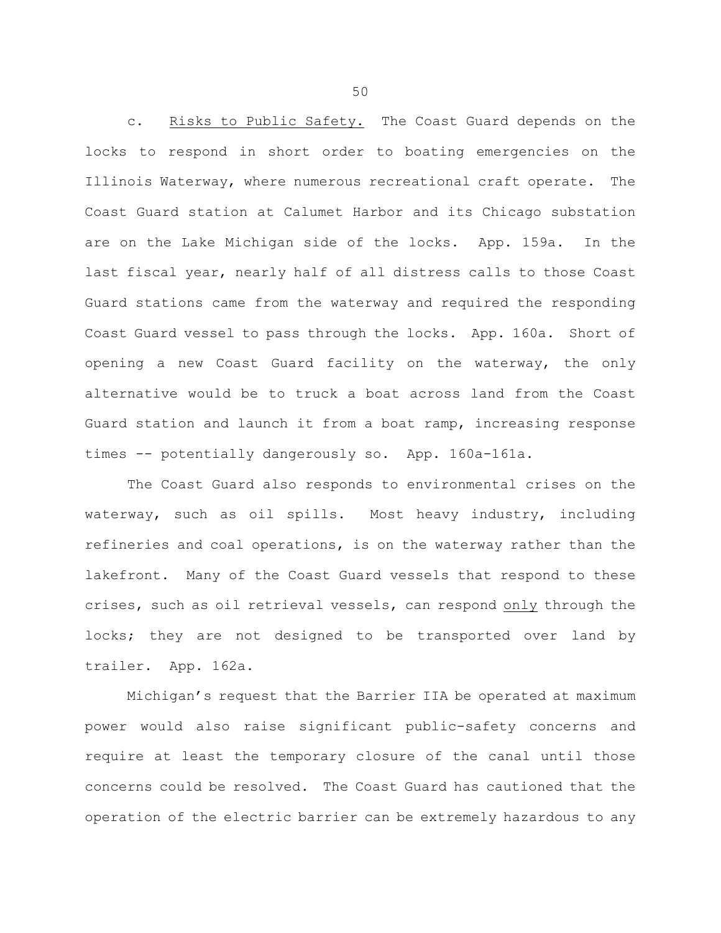c. Risks to Public Safety. The Coast Guard depends on the locks to respond in short order to boating emergencies on the Illinois Waterway, where numerous recreational craft operate. The Coast Guard station at Calumet Harbor and its Chicago substation are on the Lake Michigan side of the locks. App. 159a. In the last fiscal year, nearly half of all distress calls to those Coast Guard stations came from the waterway and required the responding Coast Guard vessel to pass through the locks. App. 160a. Short of opening a new Coast Guard facility on the waterway, the only alternative would be to truck a boat across land from the Coast Guard station and launch it from a boat ramp, increasing response times -- potentially dangerously so. App. 160a-161a.

The Coast Guard also responds to environmental crises on the waterway, such as oil spills. Most heavy industry, including refineries and coal operations, is on the waterway rather than the lakefront. Many of the Coast Guard vessels that respond to these crises, such as oil retrieval vessels, can respond only through the locks; they are not designed to be transported over land by trailer. App. 162a.

Michigan's request that the Barrier IIA be operated at maximum power would also raise significant public-safety concerns and require at least the temporary closure of the canal until those concerns could be resolved. The Coast Guard has cautioned that the operation of the electric barrier can be extremely hazardous to any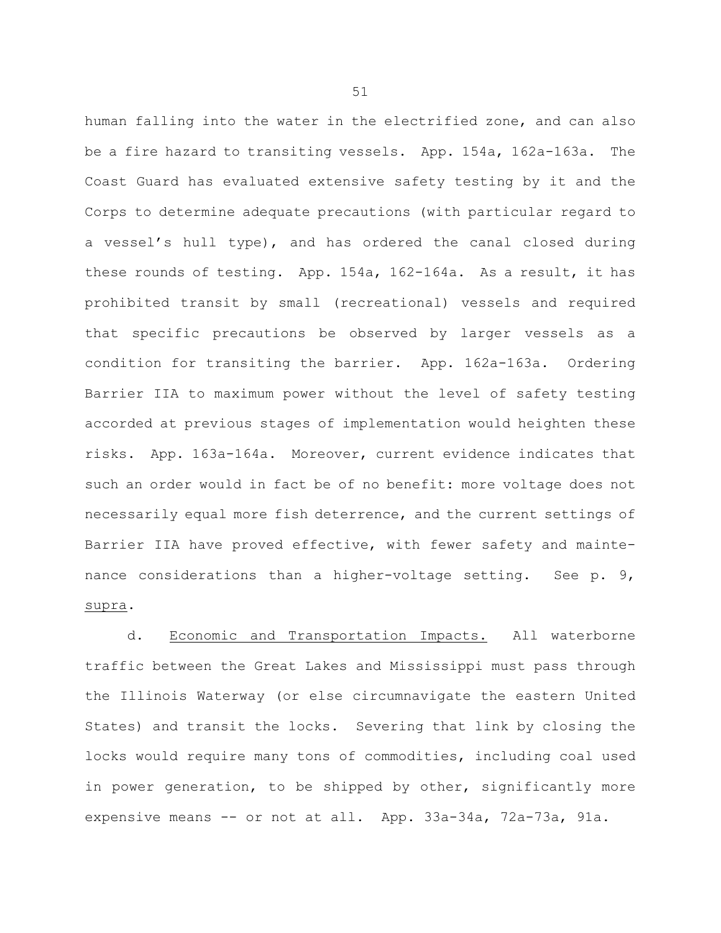human falling into the water in the electrified zone, and can also be a fire hazard to transiting vessels. App. 154a, 162a-163a. The Coast Guard has evaluated extensive safety testing by it and the Corps to determine adequate precautions (with particular regard to a vessel's hull type), and has ordered the canal closed during these rounds of testing. App. 154a, 162-164a. As a result, it has prohibited transit by small (recreational) vessels and required that specific precautions be observed by larger vessels as a condition for transiting the barrier. App. 162a-163a. Ordering Barrier IIA to maximum power without the level of safety testing accorded at previous stages of implementation would heighten these risks. App. 163a-164a. Moreover, current evidence indicates that such an order would in fact be of no benefit: more voltage does not necessarily equal more fish deterrence, and the current settings of Barrier IIA have proved effective, with fewer safety and maintenance considerations than a higher-voltage setting. See p. 9, supra.

d. Economic and Transportation Impacts. All waterborne traffic between the Great Lakes and Mississippi must pass through the Illinois Waterway (or else circumnavigate the eastern United States) and transit the locks. Severing that link by closing the locks would require many tons of commodities, including coal used in power generation, to be shipped by other, significantly more expensive means -- or not at all. App. 33a-34a, 72a-73a, 91a.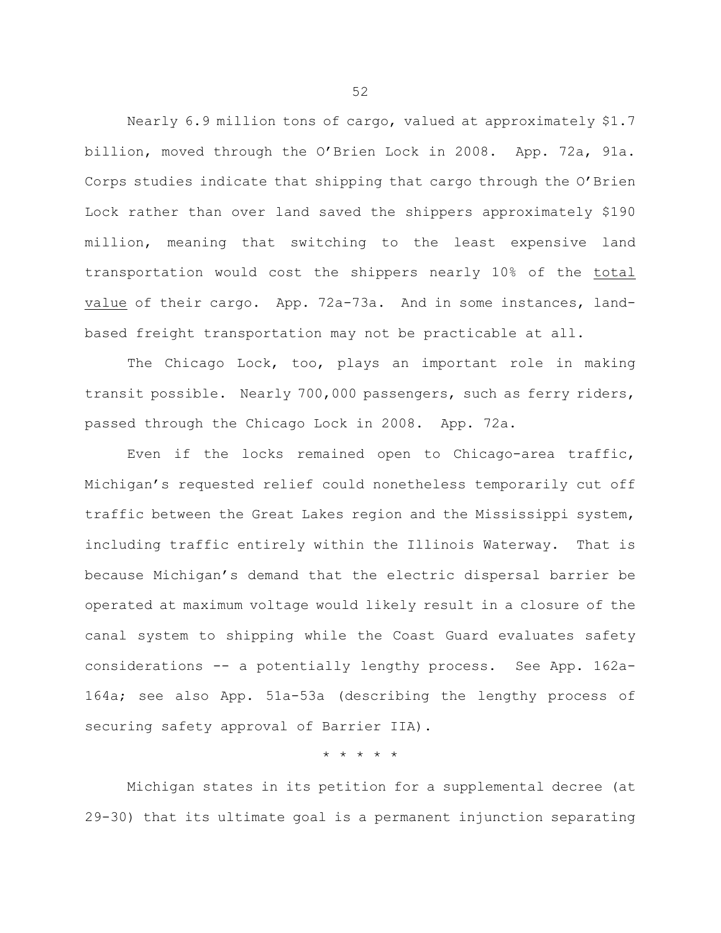Nearly 6.9 million tons of cargo, valued at approximately \$1.7 billion, moved through the O'Brien Lock in 2008. App. 72a, 91a. Corps studies indicate that shipping that cargo through the O'Brien Lock rather than over land saved the shippers approximately \$190 million, meaning that switching to the least expensive land transportation would cost the shippers nearly 10% of the total value of their cargo. App. 72a-73a. And in some instances, landbased freight transportation may not be practicable at all.

The Chicago Lock, too, plays an important role in making transit possible. Nearly 700,000 passengers, such as ferry riders, passed through the Chicago Lock in 2008. App. 72a.

Even if the locks remained open to Chicago-area traffic, Michigan's requested relief could nonetheless temporarily cut off traffic between the Great Lakes region and the Mississippi system, including traffic entirely within the Illinois Waterway. That is because Michigan's demand that the electric dispersal barrier be operated at maximum voltage would likely result in a closure of the canal system to shipping while the Coast Guard evaluates safety considerations -- a potentially lengthy process. See App. 162a 164a; see also App. 51a-53a (describing the lengthy process of securing safety approval of Barrier IIA).

## \* \* \* \* \*

Michigan states in its petition for a supplemental decree (at 29-30) that its ultimate goal is a permanent injunction separating